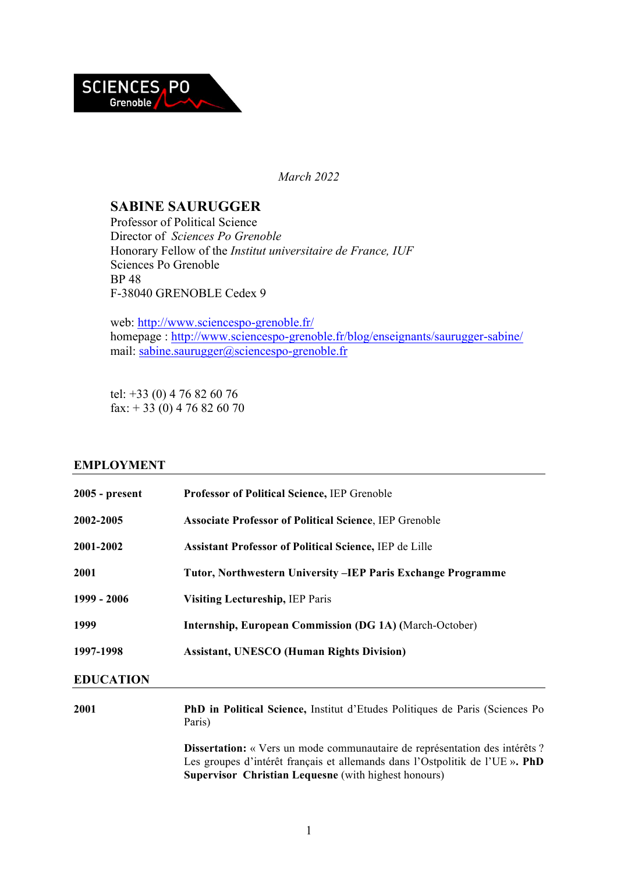

*March 2022*

# **SABINE SAURUGGER**

Professor of Political Science Director of *Sciences Po Grenoble* Honorary Fellow of the *Institut universitaire de France, IUF* Sciences Po Grenoble BP 48 F-38040 GRENOBLE Cedex 9

web: http://www.sciencespo-grenoble.fr/ homepage : http://www.sciencespo-grenoble.fr/blog/enseignants/saurugger-sabine/ mail: sabine.saurugger@sciencespo-grenoble.fr

tel: +33 (0) 4 76 82 60 76 fax:  $+ 33 (0) 4 76 82 60 70$ 

# **EMPLOYMENT**

| $2005$ - present | Professor of Political Science, IEP Grenoble                                                                                                                                                                                      |
|------------------|-----------------------------------------------------------------------------------------------------------------------------------------------------------------------------------------------------------------------------------|
| 2002-2005        | <b>Associate Professor of Political Science, IEP Grenoble</b>                                                                                                                                                                     |
| 2001-2002        | <b>Assistant Professor of Political Science, IEP de Lille</b>                                                                                                                                                                     |
| 2001             | Tutor, Northwestern University -IEP Paris Exchange Programme                                                                                                                                                                      |
| 1999 - 2006      | <b>Visiting Lectureship, IEP Paris</b>                                                                                                                                                                                            |
| 1999             | <b>Internship, European Commission (DG 1A) (March-October)</b>                                                                                                                                                                    |
| 1997-1998        | <b>Assistant, UNESCO (Human Rights Division)</b>                                                                                                                                                                                  |
| <b>EDUCATION</b> |                                                                                                                                                                                                                                   |
| 2001             | <b>PhD in Political Science, Institut d'Etudes Politiques de Paris (Sciences Po</b><br>Paris)                                                                                                                                     |
|                  | <b>Dissertation:</b> « Vers un mode communautaire de représentation des intérêts ?<br>Les groupes d'intérêt français et allemands dans l'Ostpolitik de l'UE ». PhD<br><b>Supervisor Christian Lequesne</b> (with highest honours) |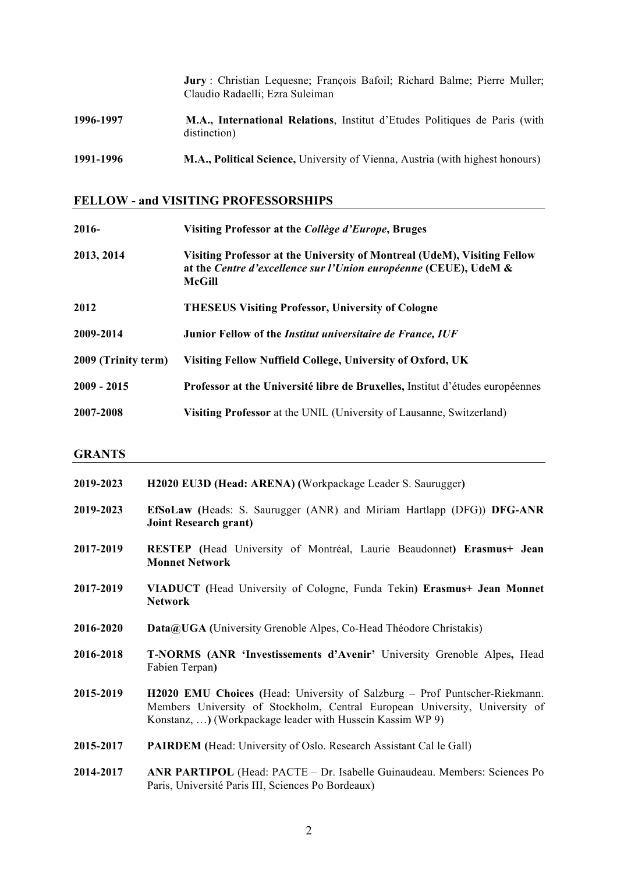**Jury** : Christian Lequesne; François Bafoil; Richard Balme; Pierre Muller; Claudio Radaelli; Ezra Suleiman **1996-1997 M.A., International Relations**, Institut d'Etudes Politiques de Paris (with distinction) **1991-1996 M.A., Political Science,** University of Vienna, Austria (with highest honours)

# **FELLOW - and VISITING PROFESSORSHIPS**

| 2016-               | Visiting Professor at the Collège d'Europe, Bruges                                                                                                            |
|---------------------|---------------------------------------------------------------------------------------------------------------------------------------------------------------|
| 2013, 2014          | Visiting Professor at the University of Montreal (UdeM), Visiting Fellow<br>at the Centre d'excellence sur l'Union européenne (CEUE), UdeM &<br><b>McGill</b> |
| 2012                | <b>THESEUS Visiting Professor, University of Cologne</b>                                                                                                      |
| 2009-2014           | Junior Fellow of the <i>Institut universitaire de France</i> , <i>IUF</i>                                                                                     |
| 2009 (Trinity term) | Visiting Fellow Nuffield College, University of Oxford, UK                                                                                                    |
| $2009 - 2015$       | Professor at the Université libre de Bruxelles, Institut d'études européennes                                                                                 |
| 2007-2008           | Visiting Professor at the UNIL (University of Lausanne, Switzerland)                                                                                          |

### **GRANTS**

| 2019-2023 | H2020 EU3D (Head: ARENA) (Workpackage Leader S. Saurugger)                                                                                                                                                                    |
|-----------|-------------------------------------------------------------------------------------------------------------------------------------------------------------------------------------------------------------------------------|
| 2019-2023 | EfSoLaw (Heads: S. Saurugger (ANR) and Miriam Hartlapp (DFG)) DFG-ANR<br><b>Joint Research grant)</b>                                                                                                                         |
| 2017-2019 | RESTEP (Head University of Montréal, Laurie Beaudonnet) Erasmus+ Jean<br><b>Monnet Network</b>                                                                                                                                |
| 2017-2019 | VIADUCT (Head University of Cologne, Funda Tekin) Erasmus+ Jean Monnet<br><b>Network</b>                                                                                                                                      |
| 2016-2020 | <b>Data@UGA</b> (University Grenoble Alpes, Co-Head Théodore Christakis)                                                                                                                                                      |
| 2016-2018 | <b>T-NORMS (ANR 'Investissements d'Avenir' University Grenoble Alpes, Head</b><br>Fabien Terpan)                                                                                                                              |
| 2015-2019 | <b>H2020 EMU Choices</b> (Head: University of Salzburg – Prof Puntscher-Riekmann.<br>Members University of Stockholm, Central European University, University of<br>Konstanz, ) (Workpackage leader with Hussein Kassim WP 9) |
| 2015-2017 | <b>PAIRDEM</b> (Head: University of Oslo. Research Assistant Cal le Gall)                                                                                                                                                     |
| 2011.2017 | $\lambda$ MD D $\lambda$ DTIDOL (Head, D $\lambda$ CTE). De Leghelle Companions Mambagas Gaianage De                                                                                                                          |

## **2014-2017 ANR PARTIPOL** (Head: PACTE – Dr. Isabelle Guinaudeau. Members: Sciences Po Paris, Université Paris III, Sciences Po Bordeaux)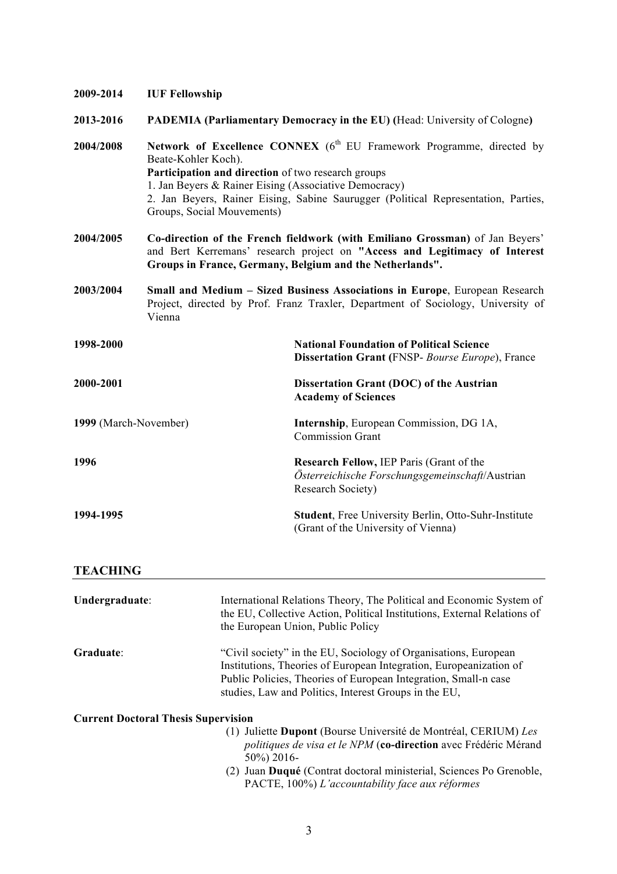| 2009-2014             | <b>IUF Fellowship</b>                                                                                                                                            |                                                                                                                                                                                                                        |
|-----------------------|------------------------------------------------------------------------------------------------------------------------------------------------------------------|------------------------------------------------------------------------------------------------------------------------------------------------------------------------------------------------------------------------|
| 2013-2016             |                                                                                                                                                                  | <b>PADEMIA (Parliamentary Democracy in the EU) (Head: University of Cologne)</b>                                                                                                                                       |
| 2004/2008             | Beate-Kohler Koch).<br>Participation and direction of two research groups<br>1. Jan Beyers & Rainer Eising (Associative Democracy)<br>Groups, Social Mouvements) | Network of Excellence CONNEX (6 <sup>th</sup> EU Framework Programme, directed by<br>2. Jan Beyers, Rainer Eising, Sabine Saurugger (Political Representation, Parties,                                                |
| 2004/2005             |                                                                                                                                                                  | Co-direction of the French fieldwork (with Emiliano Grossman) of Jan Beyers'<br>and Bert Kerremans' research project on "Access and Legitimacy of Interest<br>Groups in France, Germany, Belgium and the Netherlands". |
| 2003/2004             | Vienna                                                                                                                                                           | Small and Medium – Sized Business Associations in Europe, European Research<br>Project, directed by Prof. Franz Traxler, Department of Sociology, University of                                                        |
| 1998-2000             |                                                                                                                                                                  | <b>National Foundation of Political Science</b><br><b>Dissertation Grant (FNSP- Bourse Europe), France</b>                                                                                                             |
| 2000-2001             |                                                                                                                                                                  | Dissertation Grant (DOC) of the Austrian<br><b>Academy of Sciences</b>                                                                                                                                                 |
| 1999 (March-November) |                                                                                                                                                                  | <b>Internship</b> , European Commission, DG 1A,<br><b>Commission Grant</b>                                                                                                                                             |
| 1996                  |                                                                                                                                                                  | Research Fellow, IEP Paris (Grant of the<br>Österreichische Forschungsgemeinschaft/Austrian<br>Research Society)                                                                                                       |
| 1994-1995             |                                                                                                                                                                  | Student, Free University Berlin, Otto-Suhr-Institute<br>(Grant of the University of Vienna)                                                                                                                            |

# **TEACHING**

| Undergraduate:                             | International Relations Theory, The Political and Economic System of<br>the EU, Collective Action, Political Institutions, External Relations of<br>the European Union, Public Policy                                                                             |
|--------------------------------------------|-------------------------------------------------------------------------------------------------------------------------------------------------------------------------------------------------------------------------------------------------------------------|
| Graduate:                                  | "Civil society" in the EU, Sociology of Organisations, European<br>Institutions, Theories of European Integration, Europeanization of<br>Public Policies, Theories of European Integration, Small-n case<br>studies, Law and Politics, Interest Groups in the EU, |
| <b>Current Doctoral Thesis Supervision</b> |                                                                                                                                                                                                                                                                   |
|                                            | (1) Juliette Dupont (Bourse Université de Montréal, CERIUM) Les<br><i>politiques de visa et le NPM</i> (co-direction avec Frédéric Mérand<br>50%) 2016-                                                                                                           |
|                                            | Juan Duqué (Contrat doctoral ministerial, Sciences Po Grenoble,<br>(2)                                                                                                                                                                                            |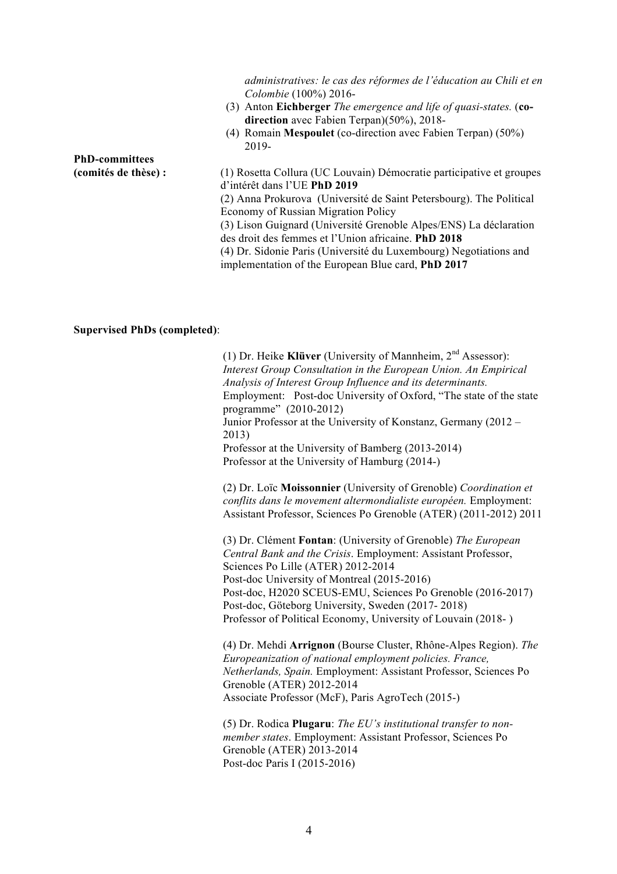|                       | administratives: le cas des réformes de l'éducation au Chili et en<br>Colombie (100%) 2016- |
|-----------------------|---------------------------------------------------------------------------------------------|
|                       |                                                                                             |
|                       | (3) Anton Eichberger The emergence and life of quasi-states. (co-                           |
|                       | direction avec Fabien Terpan $(50\%)$ , 2018-                                               |
|                       | (4) Romain Mespoulet (co-direction avec Fabien Terpan) $(50\%)$                             |
|                       | 2019-                                                                                       |
| <b>PhD-committees</b> |                                                                                             |
| (comités de thèse) :  | (1) Rosetta Collura (UC Louvain) Démocratie participative et groupes                        |
|                       | d'intérêt dans l'UE PhD 2019                                                                |
|                       | (2) Anna Prokurova (Université de Saint Petersbourg). The Political                         |
|                       | Economy of Russian Migration Policy                                                         |
|                       | (3) Lison Guignard (Université Grenoble Alpes/ENS) La déclaration                           |
|                       | des droit des femmes et l'Union africaine. PhD 2018                                         |
|                       |                                                                                             |
|                       | (4) Dr. Sidonie Paris (Université du Luxembourg) Negotiations and                           |
|                       | implementation of the European Blue card, PhD 2017                                          |
|                       |                                                                                             |

#### **Supervised PhDs (completed)**:

(1) Dr. Heike **Klüver** (University of Mannheim, 2nd Assessor): *Interest Group Consultation in the European Union. An Empirical Analysis of Interest Group Influence and its determinants.*  Employment: Post-doc University of Oxford, "The state of the state programme" (2010-2012) Junior Professor at the University of Konstanz, Germany (2012 – 2013) Professor at the University of Bamberg (2013-2014) Professor at the University of Hamburg (2014-) (2) Dr. Loïc **Moissonnier** (University of Grenoble) *Coordination et conflits dans le movement altermondialiste européen.* Employment: Assistant Professor, Sciences Po Grenoble (ATER) (2011-2012) 2011 (3) Dr. Clément **Fontan**: (University of Grenoble) *The European Central Bank and the Crisis*. Employment: Assistant Professor, Sciences Po Lille (ATER) 2012-2014 Post-doc University of Montreal (2015-2016) Post-doc, H2020 SCEUS-EMU, Sciences Po Grenoble (2016-2017) Post-doc, Göteborg University, Sweden (2017- 2018) Professor of Political Economy, University of Louvain (2018- )

(4) Dr. Mehdi **Arrignon** (Bourse Cluster, Rhône-Alpes Region). *The Europeanization of national employment policies. France, Netherlands, Spain.* Employment: Assistant Professor, Sciences Po Grenoble (ATER) 2012-2014 Associate Professor (McF), Paris AgroTech (2015-)

(5) Dr. Rodica **Plugaru**: *The EU's institutional transfer to nonmember states*. Employment: Assistant Professor, Sciences Po Grenoble (ATER) 2013-2014 Post-doc Paris I (2015-2016)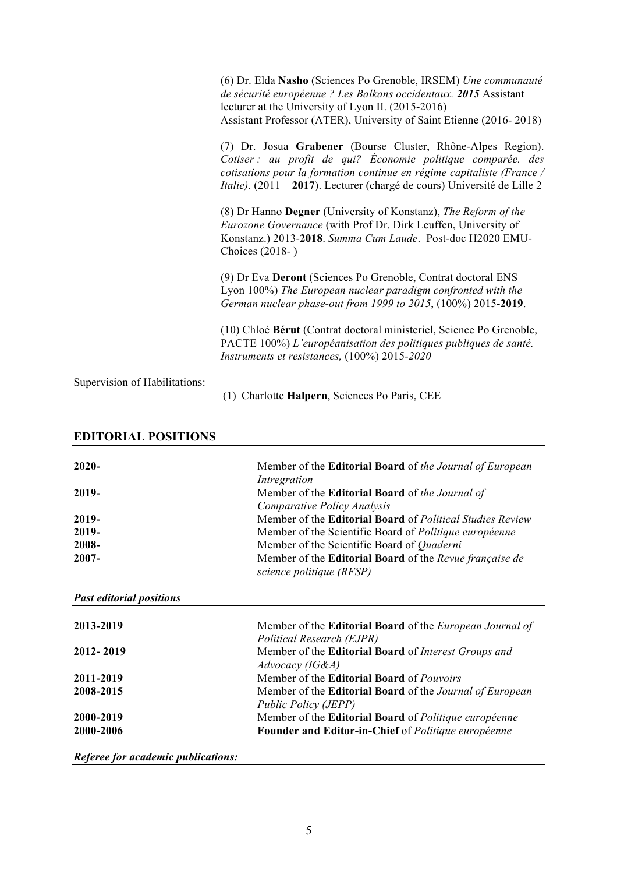|                               | (6) Dr. Elda Nasho (Sciences Po Grenoble, IRSEM) Une communauté<br>de sécurité européenne ? Les Balkans occidentaux. 2015 Assistant<br>lecturer at the University of Lyon II. (2015-2016)<br>Assistant Professor (ATER), University of Saint Etienne (2016-2018)                          |
|-------------------------------|-------------------------------------------------------------------------------------------------------------------------------------------------------------------------------------------------------------------------------------------------------------------------------------------|
|                               | (7) Dr. Josua Grabener (Bourse Cluster, Rhône-Alpes Region).<br>Cotiser : au profit de qui? Économie politique comparée. des<br>cotisations pour la formation continue en régime capitaliste (France /<br><i>Italie).</i> (2011 – 2017). Lecturer (chargé de cours) Université de Lille 2 |
|                               | (8) Dr Hanno Degner (University of Konstanz), The Reform of the<br><i>Eurozone Governance</i> (with Prof Dr. Dirk Leuffen, University of<br>Konstanz.) 2013-2018. Summa Cum Laude. Post-doc H2020 EMU-<br>Choices (2018-)                                                                 |
|                               | (9) Dr Eva Deront (Sciences Po Grenoble, Contrat doctoral ENS<br>Lyon 100%) The European nuclear paradigm confronted with the<br>German nuclear phase-out from 1999 to 2015, (100%) 2015-2019.                                                                                            |
|                               | (10) Chloé Bérut (Contrat doctoral ministeriel, Science Po Grenoble,<br>PACTE 100%) L'européanisation des politiques publiques de santé.<br>Instruments et resistances, (100%) 2015-2020                                                                                                  |
| Supervision of Habilitations: |                                                                                                                                                                                                                                                                                           |

(1) Charlotte **Halpern**, Sciences Po Paris, CEE

| $2020 -$                        | Member of the <b>Editorial Board</b> of the Journal of European |
|---------------------------------|-----------------------------------------------------------------|
|                                 | Intregration                                                    |
| 2019-                           | Member of the Editorial Board of the Journal of                 |
|                                 | Comparative Policy Analysis                                     |
| 2019-                           | Member of the Editorial Board of Political Studies Review       |
| 2019-                           | Member of the Scientific Board of Politique européenne          |
| 2008-                           | Member of the Scientific Board of Quaderni                      |
| 2007-                           | Member of the Editorial Board of the Revue française de         |
|                                 | science politique (RFSP)                                        |
| <b>Past editorial positions</b> |                                                                 |
| 2013-2019                       | Member of the Editorial Board of the European Journal of        |
|                                 | Political Research (EJPR)                                       |
| 2012-2019                       | Member of the Editorial Board of Interest Groups and            |
|                                 | Advocacy (IG&A)                                                 |
| 2011-2019                       | Member of the Editorial Board of Pouvoirs                       |
| 2008-2015                       | Member of the Editorial Board of the Journal of European        |
|                                 | Public Policy (JEPP)                                            |
| 2000-2019                       | Member of the Editorial Board of Politique européenne           |
| 2000-2006                       | Founder and Editor-in-Chief of Politique européenne             |

# **EDITORIAL POSITIONS**

*Referee for academic publications:*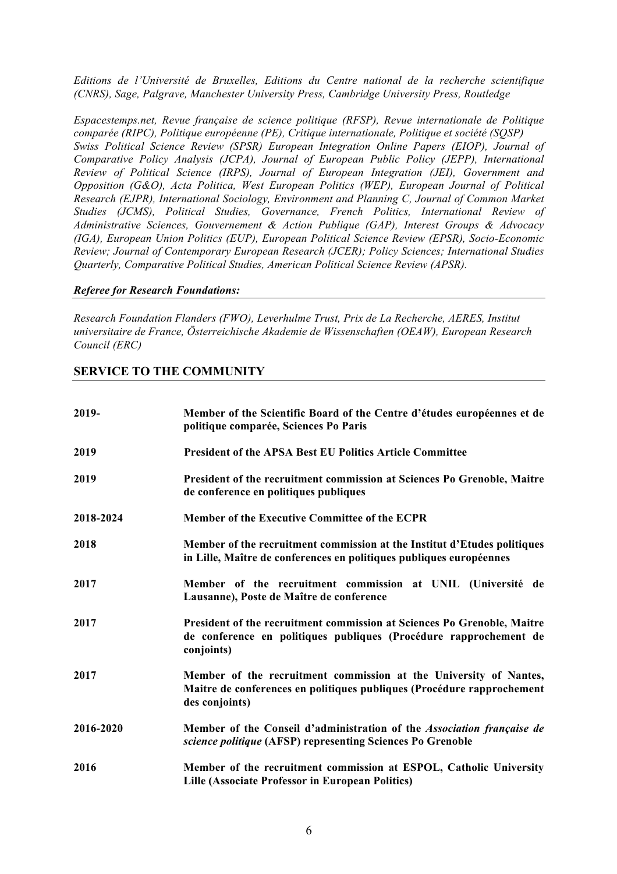*Editions de l'Université de Bruxelles, Editions du Centre national de la recherche scientifique (CNRS), Sage, Palgrave, Manchester University Press, Cambridge University Press, Routledge*

*Espacestemps.net, Revue française de science politique (RFSP), Revue internationale de Politique comparée (RIPC), Politique européenne (PE), Critique internationale, Politique et société (SQSP) Swiss Political Science Review (SPSR) European Integration Online Papers (EIOP), Journal of Comparative Policy Analysis (JCPA), Journal of European Public Policy (JEPP), International Review of Political Science (IRPS), Journal of European Integration (JEI), Government and Opposition (G&O), Acta Politica, West European Politics (WEP), European Journal of Political Research (EJPR), International Sociology, Environment and Planning C, Journal of Common Market Studies (JCMS), Political Studies, Governance, French Politics, International Review of Administrative Sciences, Gouvernement & Action Publique (GAP), Interest Groups & Advocacy (IGA), European Union Politics (EUP), European Political Science Review (EPSR), Socio-Economic Review; Journal of Contemporary European Research (JCER); Policy Sciences; International Studies Quarterly, Comparative Political Studies, American Political Science Review (APSR).*

## *Referee for Research Foundations:*

*Research Foundation Flanders (FWO), Leverhulme Trust, Prix de La Recherche, AERES, Institut universitaire de France, Österreichische Akademie de Wissenschaften (OEAW), European Research Council (ERC)*

# **SERVICE TO THE COMMUNITY**

| 2019-     | Member of the Scientific Board of the Centre d'études européennes et de<br>politique comparée, Sciences Po Paris                                              |
|-----------|---------------------------------------------------------------------------------------------------------------------------------------------------------------|
| 2019      | <b>President of the APSA Best EU Politics Article Committee</b>                                                                                               |
| 2019      | President of the recruitment commission at Sciences Po Grenoble, Maitre<br>de conference en politiques publiques                                              |
| 2018-2024 | Member of the Executive Committee of the ECPR                                                                                                                 |
| 2018      | Member of the recruitment commission at the Institut d'Etudes politiques<br>in Lille, Maître de conferences en politiques publiques européennes               |
| 2017      | Member of the recruitment commission at UNIL (Université de<br>Lausanne), Poste de Maître de conference                                                       |
| 2017      | President of the recruitment commission at Sciences Po Grenoble, Maitre<br>de conference en politiques publiques (Procédure rapprochement de<br>conjoints)    |
| 2017      | Member of the recruitment commission at the University of Nantes,<br>Maitre de conferences en politiques publiques (Procédure rapprochement<br>des conjoints) |
| 2016-2020 | Member of the Conseil d'administration of the Association française de<br>science politique (AFSP) representing Sciences Po Grenoble                          |
| 2016      | Member of the recruitment commission at ESPOL, Catholic University<br><b>Lille (Associate Professor in European Politics)</b>                                 |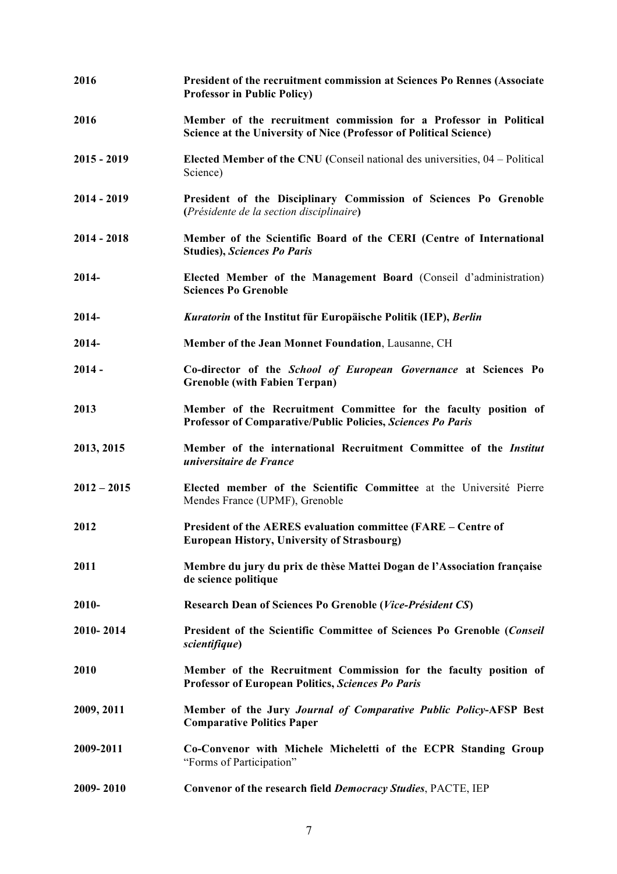| 2016          | President of the recruitment commission at Sciences Po Rennes (Associate<br><b>Professor in Public Policy)</b>                          |
|---------------|-----------------------------------------------------------------------------------------------------------------------------------------|
| 2016          | Member of the recruitment commission for a Professor in Political<br>Science at the University of Nice (Professor of Political Science) |
| $2015 - 2019$ | <b>Elected Member of the CNU</b> (Conseil national des universities, $04$ – Political<br>Science)                                       |
| $2014 - 2019$ | President of the Disciplinary Commission of Sciences Po Grenoble<br>(Présidente de la section disciplinaire)                            |
| $2014 - 2018$ | Member of the Scientific Board of the CERI (Centre of International<br><b>Studies), Sciences Po Paris</b>                               |
| 2014-         | Elected Member of the Management Board (Conseil d'administration)<br><b>Sciences Po Grenoble</b>                                        |
| 2014-         | Kuratorin of the Institut für Europäische Politik (IEP), Berlin                                                                         |
| 2014-         | Member of the Jean Monnet Foundation, Lausanne, CH                                                                                      |
| $2014 -$      | Co-director of the School of European Governance at Sciences Po<br><b>Grenoble (with Fabien Terpan)</b>                                 |
| 2013          | Member of the Recruitment Committee for the faculty position of<br>Professor of Comparative/Public Policies, Sciences Po Paris          |
| 2013, 2015    | Member of the international Recruitment Committee of the Institut<br>universitaire de France                                            |
| $2012 - 2015$ | Elected member of the Scientific Committee at the Université Pierre<br>Mendes France (UPMF), Grenoble                                   |
| 2012          | President of the AERES evaluation committee (FARE – Centre of<br><b>European History, University of Strasbourg)</b>                     |
| 2011          | Membre du jury du prix de thèse Mattei Dogan de l'Association française<br>de science politique                                         |
| 2010-         | Research Dean of Sciences Po Grenoble (Vice-Président CS)                                                                               |
| 2010-2014     | President of the Scientific Committee of Sciences Po Grenoble (Conseil<br>scientifique)                                                 |
| 2010          | Member of the Recruitment Commission for the faculty position of<br><b>Professor of European Politics, Sciences Po Paris</b>            |
| 2009, 2011    | Member of the Jury Journal of Comparative Public Policy-AFSP Best<br><b>Comparative Politics Paper</b>                                  |
| 2009-2011     | Co-Convenor with Michele Micheletti of the ECPR Standing Group<br>"Forms of Participation"                                              |
| 2009-2010     | Convenor of the research field Democracy Studies, PACTE, IEP                                                                            |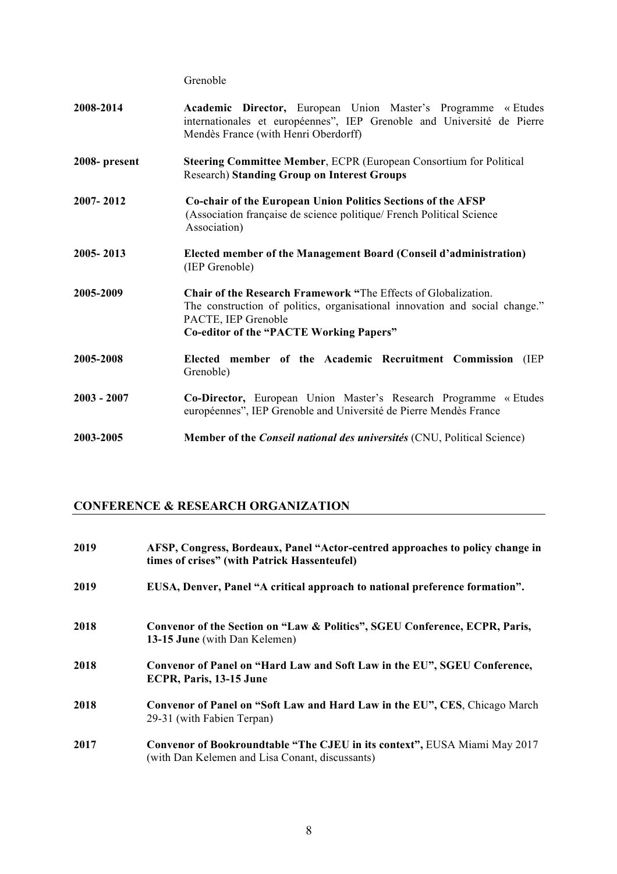Grenoble

| 2008-2014     | Academic Director, European Union Master's Programme « Etudes<br>internationales et européennes", IEP Grenoble and Université de Pierre<br>Mendès France (with Henri Oberdorff)                                        |
|---------------|------------------------------------------------------------------------------------------------------------------------------------------------------------------------------------------------------------------------|
| 2008-present  | <b>Steering Committee Member, ECPR (European Consortium for Political</b><br><b>Research) Standing Group on Interest Groups</b>                                                                                        |
| 2007-2012     | Co-chair of the European Union Politics Sections of the AFSP<br>(Association française de science politique/ French Political Science<br>Association)                                                                  |
| 2005-2013     | Elected member of the Management Board (Conseil d'administration)<br>(IEP Grenoble)                                                                                                                                    |
| 2005-2009     | Chair of the Research Framework "The Effects of Globalization.<br>The construction of politics, organisational innovation and social change."<br>PACTE, IEP Grenoble<br><b>Co-editor of the "PACTE Working Papers"</b> |
| 2005-2008     | Elected member of the Academic Recruitment Commission (IEP<br>Grenoble)                                                                                                                                                |
| $2003 - 2007$ | Co-Director, European Union Master's Research Programme « Etudes<br>européennes", IEP Grenoble and Université de Pierre Mendès France                                                                                  |
| 2003-2005     | <b>Member of the Conseil national des universités (CNU, Political Science)</b>                                                                                                                                         |

# **CONFERENCE & RESEARCH ORGANIZATION**

| 2019 | AFSP, Congress, Bordeaux, Panel "Actor-centred approaches to policy change in<br>times of crises" (with Patrick Hassenteufel) |
|------|-------------------------------------------------------------------------------------------------------------------------------|
| 2019 | EUSA, Denver, Panel "A critical approach to national preference formation".                                                   |
| 2018 | Convenor of the Section on "Law & Politics", SGEU Conference, ECPR, Paris,<br>13-15 June (with Dan Kelemen)                   |
| 2018 | Convenor of Panel on "Hard Law and Soft Law in the EU", SGEU Conference,<br>ECPR, Paris, 13-15 June                           |
| 2018 | Convenor of Panel on "Soft Law and Hard Law in the EU", CES, Chicago March<br>29-31 (with Fabien Terpan)                      |
| 2017 | Convenor of Bookroundtable "The CJEU in its context", EUSA Miami May 2017<br>(with Dan Kelemen and Lisa Conant, discussants)  |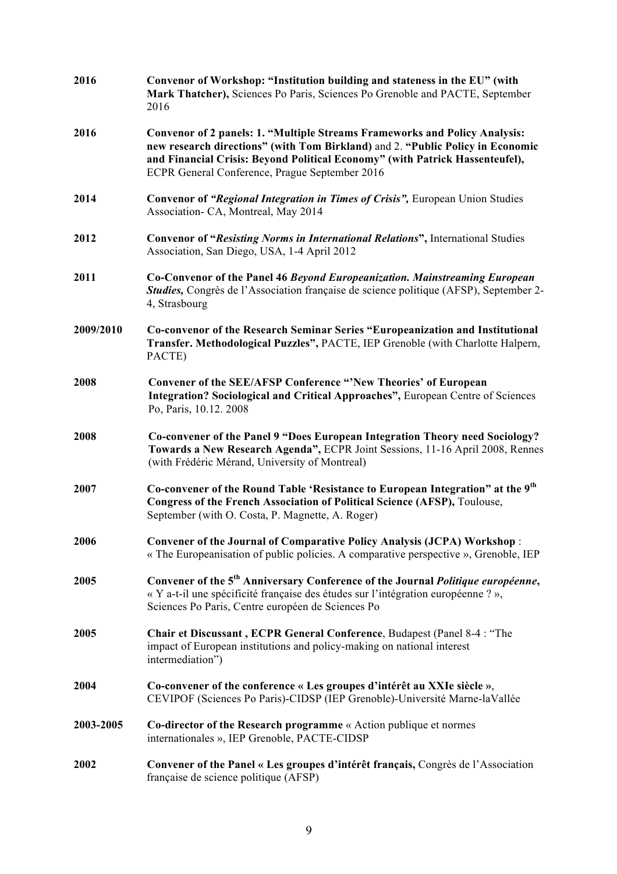| 2016      | Convenor of Workshop: "Institution building and stateness in the EU" (with<br>Mark Thatcher), Sciences Po Paris, Sciences Po Grenoble and PACTE, September<br>2016                                                                                                                                    |
|-----------|-------------------------------------------------------------------------------------------------------------------------------------------------------------------------------------------------------------------------------------------------------------------------------------------------------|
| 2016      | <b>Convenor of 2 panels: 1. "Multiple Streams Frameworks and Policy Analysis:</b><br>new research directions" (with Tom Birkland) and 2. "Public Policy in Economic<br>and Financial Crisis: Beyond Political Economy" (with Patrick Hassenteufel),<br>ECPR General Conference, Prague September 2016 |
| 2014      | Convenor of "Regional Integration in Times of Crisis", European Union Studies<br>Association- CA, Montreal, May 2014                                                                                                                                                                                  |
| 2012      | <b>Convenor of "Resisting Norms in International Relations"</b> , International Studies<br>Association, San Diego, USA, 1-4 April 2012                                                                                                                                                                |
| 2011      | Co-Convenor of the Panel 46 Beyond Europeanization. Mainstreaming European<br><b>Studies,</b> Congrès de l'Association française de science politique (AFSP), September 2-<br>4, Strasbourg                                                                                                           |
| 2009/2010 | Co-convenor of the Research Seminar Series "Europeanization and Institutional<br>Transfer. Methodological Puzzles", PACTE, IEP Grenoble (with Charlotte Halpern,<br>PACTE)                                                                                                                            |
| 2008      | <b>Convener of the SEE/AFSP Conference "New Theories' of European</b><br>Integration? Sociological and Critical Approaches", European Centre of Sciences<br>Po, Paris, 10.12. 2008                                                                                                                    |
| 2008      | Co-convener of the Panel 9 "Does European Integration Theory need Sociology?<br>Towards a New Research Agenda", ECPR Joint Sessions, 11-16 April 2008, Rennes<br>(with Frédéric Mérand, University of Montreal)                                                                                       |
| 2007      | Co-convener of the Round Table 'Resistance to European Integration" at the 9 <sup>th</sup><br>Congress of the French Association of Political Science (AFSP), Toulouse,<br>September (with O. Costa, P. Magnette, A. Roger)                                                                           |
| 2006      | Convener of the Journal of Comparative Policy Analysis (JCPA) Workshop:<br>« The Europeanisation of public policies. A comparative perspective », Grenoble, IEP                                                                                                                                       |
| 2005      | Convener of the 5 <sup>th</sup> Anniversary Conference of the Journal Politique européenne,<br>« Y a-t-il une spécificité française des études sur l'intégration européenne ? »,<br>Sciences Po Paris, Centre européen de Sciences Po                                                                 |
| 2005      | Chair et Discussant, ECPR General Conference, Budapest (Panel 8-4 : "The<br>impact of European institutions and policy-making on national interest<br>intermediation")                                                                                                                                |
| 2004      | Co-convener of the conference « Les groupes d'intérêt au XXIe siècle »,<br>CEVIPOF (Sciences Po Paris)-CIDSP (IEP Grenoble)-Université Marne-laVallée                                                                                                                                                 |
| 2003-2005 | Co-director of the Research programme « Action publique et normes<br>internationales », IEP Grenoble, PACTE-CIDSP                                                                                                                                                                                     |
| 2002      | Convener of the Panel « Les groupes d'intérêt français, Congrès de l'Association<br>française de science politique (AFSP)                                                                                                                                                                             |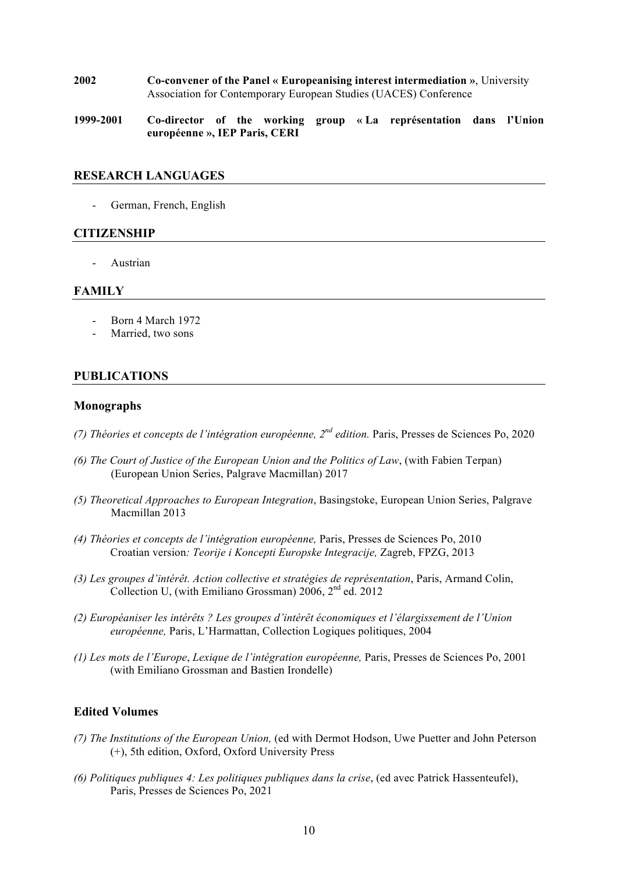- **2002 Co-convener of the Panel « Europeanising interest intermediation »**, University Association for Contemporary European Studies (UACES) Conference
- **1999-2001 Co-director of the working group « La représentation dans l'Union européenne », IEP Paris, CERI**

## **RESEARCH LANGUAGES**

- German, French, English

## **CITIZENSHIP**

**Austrian** 

### **FAMILY**

- Born 4 March 1972
- Married, two sons

# **PUBLICATIONS**

### **Monographs**

- *(7) Théories et concepts de l'intégration européenne, 2nd edition.* Paris, Presses de Sciences Po, 2020
- *(6) The Court of Justice of the European Union and the Politics of Law*, (with Fabien Terpan) (European Union Series, Palgrave Macmillan) 2017
- *(5) Theoretical Approaches to European Integration*, Basingstoke, European Union Series, Palgrave Macmillan 2013
- *(4) Théories et concepts de l'intégration européenne,* Paris, Presses de Sciences Po, 2010 Croatian version*: Teorije i Koncepti Europske Integracije,* Zagreb, FPZG, 2013
- *(3) Les groupes d'intérêt. Action collective et stratégies de représentation*, Paris, Armand Colin, Collection U, (with Emiliano Grossman)  $2006$ ,  $2<sup>nd</sup>$  ed. 2012
- *(2) Européaniser les intérêts ? Les groupes d'intérêt économiques et l'élargissement de l'Union européenne,* Paris, L'Harmattan, Collection Logiques politiques, 2004
- *(1) Les mots de l'Europe*, *Lexique de l'intégration européenne,* Paris, Presses de Sciences Po, 2001 (with Emiliano Grossman and Bastien Irondelle)

# **Edited Volumes**

- *(7) The Institutions of the European Union,* (ed with Dermot Hodson, Uwe Puetter and John Peterson (+), 5th edition, Oxford, Oxford University Press
- *(6) Politiques publiques 4: Les politiques publiques dans la crise*, (ed avec Patrick Hassenteufel), Paris, Presses de Sciences Po, 2021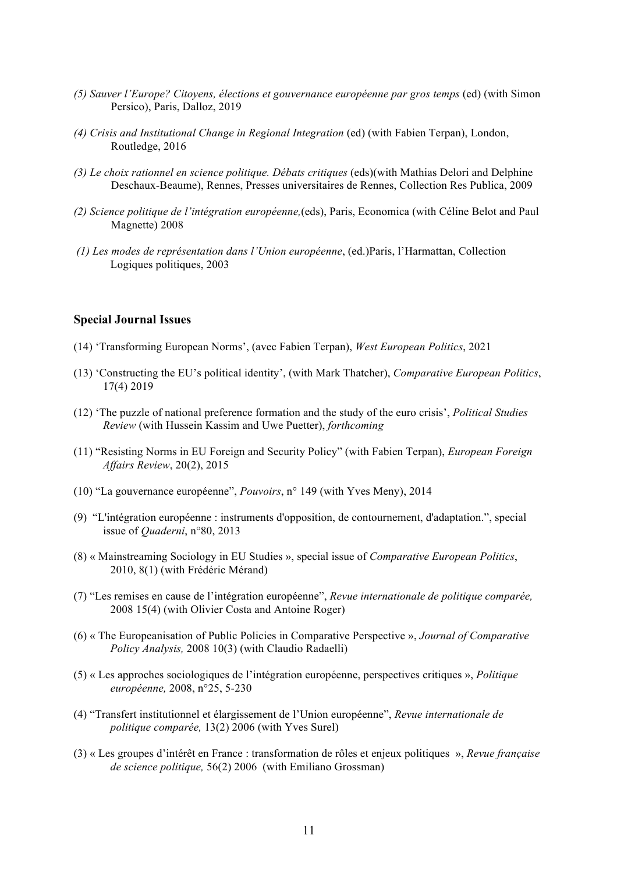- *(5) Sauver l'Europe? Citoyens, élections et gouvernance européenne par gros temps* (ed) (with Simon Persico), Paris, Dalloz, 2019
- *(4) Crisis and Institutional Change in Regional Integration* (ed) (with Fabien Terpan), London, Routledge, 2016
- *(3) Le choix rationnel en science politique. Débats critiques* (eds)(with Mathias Delori and Delphine Deschaux-Beaume), Rennes, Presses universitaires de Rennes, Collection Res Publica, 2009
- *(2) Science politique de l'intégration européenne,*(eds), Paris, Economica (with Céline Belot and Paul Magnette) 2008
- *(1) Les modes de représentation dans l'Union européenne*, (ed.)Paris, l'Harmattan, Collection Logiques politiques, 2003

### **Special Journal Issues**

- (14) 'Transforming European Norms', (avec Fabien Terpan), *West European Politics*, 2021
- (13) 'Constructing the EU's political identity', (with Mark Thatcher), *Comparative European Politics*, 17(4) 2019
- (12) 'The puzzle of national preference formation and the study of the euro crisis', *Political Studies Review* (with Hussein Kassim and Uwe Puetter), *forthcoming*
- (11) "Resisting Norms in EU Foreign and Security Policy" (with Fabien Terpan), *European Foreign Affairs Review*, 20(2), 2015
- (10) "La gouvernance européenne", *Pouvoirs*, n° 149 (with Yves Meny), 2014
- (9) "L'intégration européenne : instruments d'opposition, de contournement, d'adaptation.", special issue of *Quaderni*, n°80, 2013
- (8) « Mainstreaming Sociology in EU Studies », special issue of *Comparative European Politics*, 2010, 8(1) (with Frédéric Mérand)
- (7) "Les remises en cause de l'intégration européenne", *Revue internationale de politique comparée,* 2008 15(4) (with Olivier Costa and Antoine Roger)
- (6) « The Europeanisation of Public Policies in Comparative Perspective », *Journal of Comparative Policy Analysis,* 2008 10(3) (with Claudio Radaelli)
- (5) « Les approches sociologiques de l'intégration européenne, perspectives critiques », *Politique européenne,* 2008, n°25, 5-230
- (4) "Transfert institutionnel et élargissement de l'Union européenne", *Revue internationale de politique comparée,* 13(2) 2006 (with Yves Surel)
- (3) « Les groupes d'intérêt en France : transformation de rôles et enjeux politiques », *Revue française de science politique,* 56(2) 2006 (with Emiliano Grossman)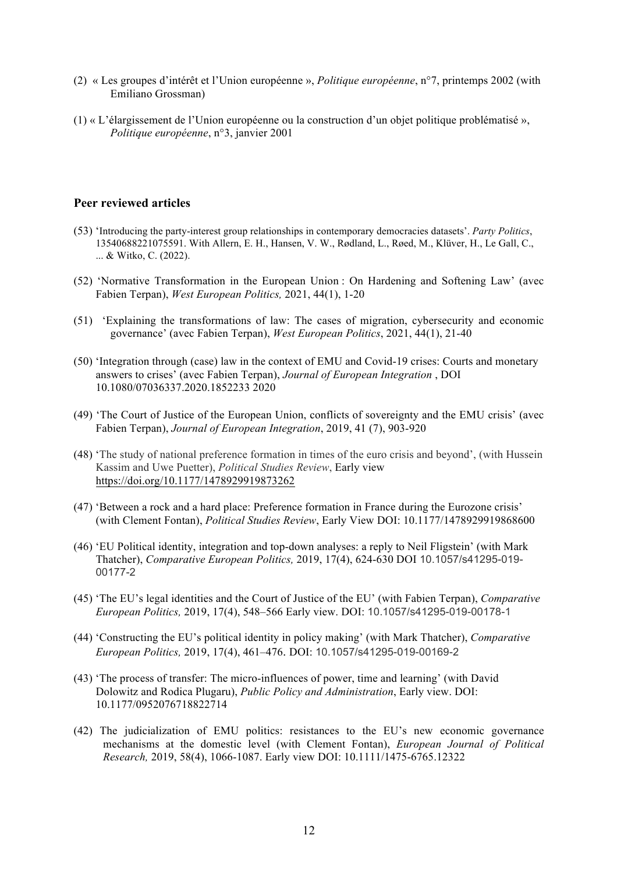- (2) « Les groupes d'intérêt et l'Union européenne », *Politique européenne*, n°7, printemps 2002 (with Emiliano Grossman)
- (1) « L'élargissement de l'Union européenne ou la construction d'un objet politique problématisé », *Politique européenne*, n°3, janvier 2001

# **Peer reviewed articles**

- (53) 'Introducing the party-interest group relationships in contemporary democracies datasets'. *Party Politics*, 13540688221075591. With Allern, E. H., Hansen, V. W., Rødland, L., Røed, M., Klüver, H., Le Gall, C., ... & Witko, C. (2022).
- (52) 'Normative Transformation in the European Union : On Hardening and Softening Law' (avec Fabien Terpan), *West European Politics,* 2021, 44(1), 1-20
- (51) 'Explaining the transformations of law: The cases of migration, cybersecurity and economic governance' (avec Fabien Terpan), *West European Politics*, 2021, 44(1), 21-40
- (50) 'Integration through (case) law in the context of EMU and Covid-19 crises: Courts and monetary answers to crises' (avec Fabien Terpan), *Journal of European Integration* , DOI 10.1080/07036337.2020.1852233 2020
- (49) 'The Court of Justice of the European Union, conflicts of sovereignty and the EMU crisis' (avec Fabien Terpan), *Journal of European Integration*, 2019, 41 (7), 903-920
- (48) 'The study of national preference formation in times of the euro crisis and beyond', (with Hussein Kassim and Uwe Puetter), *Political Studies Review*, Early view https://doi.org/10.1177/1478929919873262
- (47) 'Between a rock and a hard place: Preference formation in France during the Eurozone crisis' (with Clement Fontan), *Political Studies Review*, Early View DOI: 10.1177/1478929919868600
- (46) 'EU Political identity, integration and top-down analyses: a reply to Neil Fligstein' (with Mark Thatcher), *Comparative European Politics,* 2019, 17(4), 624-630 DOI 10.1057/s41295-019- 00177-2
- (45) 'The EU's legal identities and the Court of Justice of the EU' (with Fabien Terpan), *Comparative European Politics,* 2019, 17(4), 548–566 Early view. DOI: 10.1057/s41295-019-00178-1
- (44) 'Constructing the EU's political identity in policy making' (with Mark Thatcher), *Comparative European Politics,* 2019, 17(4), 461–476. DOI: 10.1057/s41295-019-00169-2
- (43) 'The process of transfer: The micro-influences of power, time and learning' (with David Dolowitz and Rodica Plugaru), *Public Policy and Administration*, Early view. DOI: 10.1177/0952076718822714
- (42) The judicialization of EMU politics: resistances to the EU's new economic governance mechanisms at the domestic level (with Clement Fontan), *European Journal of Political Research,* 2019, 58(4), 1066-1087. Early view DOI: 10.1111/1475-6765.12322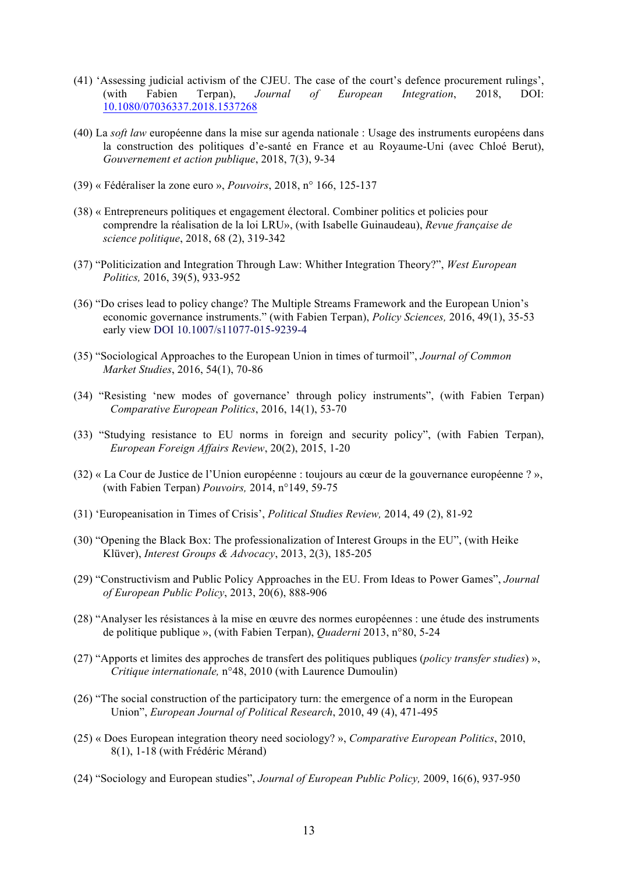- (41) 'Assessing judicial activism of the CJEU. The case of the court's defence procurement rulings', (with Fabien Terpan), *Journal of European Integration*, 2018, DOI: 10.1080/07036337.2018.1537268
- (40) La *soft law* européenne dans la mise sur agenda nationale : Usage des instruments européens dans la construction des politiques d'e-santé en France et au Royaume-Uni (avec Chloé Berut), *Gouvernement et action publique*, 2018, 7(3), 9-34
- (39) « Fédéraliser la zone euro », *Pouvoirs*, 2018, n° 166, 125-137
- (38) « Entrepreneurs politiques et engagement électoral. Combiner politics et policies pour comprendre la réalisation de la loi LRU», (with Isabelle Guinaudeau), *Revue française de science politique*, 2018, 68 (2), 319-342
- (37) "Politicization and Integration Through Law: Whither Integration Theory?", *West European Politics,* 2016, 39(5), 933-952
- (36) "Do crises lead to policy change? The Multiple Streams Framework and the European Union's economic governance instruments." (with Fabien Terpan), *Policy Sciences,* 2016, 49(1), 35-53 early view DOI 10.1007/s11077-015-9239-4
- (35) "Sociological Approaches to the European Union in times of turmoil", *Journal of Common Market Studies*, 2016, 54(1), 70-86
- (34) "Resisting 'new modes of governance' through policy instruments", (with Fabien Terpan) *Comparative European Politics*, 2016, 14(1), 53-70
- (33) "Studying resistance to EU norms in foreign and security policy", (with Fabien Terpan), *European Foreign Affairs Review*, 20(2), 2015, 1-20
- (32) « La Cour de Justice de l'Union européenne : toujours au cœur de la gouvernance européenne ? », (with Fabien Terpan) *Pouvoirs,* 2014, n°149, 59-75
- (31) 'Europeanisation in Times of Crisis', *Political Studies Review,* 2014, 49 (2), 81-92
- (30) "Opening the Black Box: The professionalization of Interest Groups in the EU", (with Heike Klüver), *Interest Groups & Advocacy*, 2013, 2(3), 185-205
- (29) "Constructivism and Public Policy Approaches in the EU. From Ideas to Power Games", *Journal of European Public Policy*, 2013, 20(6), 888-906
- (28) "Analyser les résistances à la mise en œuvre des normes européennes : une étude des instruments de politique publique », (with Fabien Terpan), *Quaderni* 2013, n°80, 5-24
- (27) "Apports et limites des approches de transfert des politiques publiques (*policy transfer studies*) », *Critique internationale,* n°48, 2010 (with Laurence Dumoulin)
- (26) "The social construction of the participatory turn: the emergence of a norm in the European Union", *European Journal of Political Research*, 2010, 49 (4), 471-495
- (25) « Does European integration theory need sociology? », *Comparative European Politics*, 2010, 8(1), 1-18 (with Frédéric Mérand)
- (24) "Sociology and European studies", *Journal of European Public Policy,* 2009, 16(6), 937-950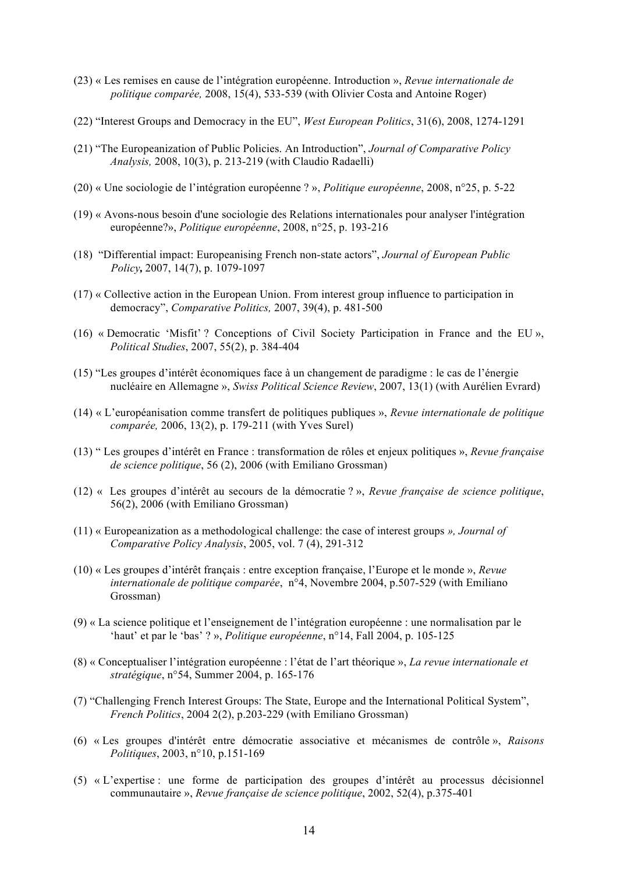- (23) « Les remises en cause de l'intégration européenne. Introduction », *Revue internationale de politique comparée,* 2008, 15(4), 533-539 (with Olivier Costa and Antoine Roger)
- (22) "Interest Groups and Democracy in the EU", *West European Politics*, 31(6), 2008, 1274-1291
- (21) "The Europeanization of Public Policies. An Introduction", *Journal of Comparative Policy Analysis,* 2008, 10(3), p. 213-219 (with Claudio Radaelli)
- (20) « Une sociologie de l'intégration européenne ? », *Politique européenne*, 2008, n°25, p. 5-22
- (19) « Avons-nous besoin d'une sociologie des Relations internationales pour analyser l'intégration européenne?», *Politique européenne*, 2008, n°25, p. 193-216
- (18) "Differential impact: Europeanising French non-state actors", *Journal of European Public Policy,* 2007, 14(7), p. 1079-1097
- (17) « Collective action in the European Union. From interest group influence to participation in democracy", *Comparative Politics,* 2007, 39(4), p. 481-500
- (16) « Democratic 'Misfit' ? Conceptions of Civil Society Participation in France and the EU », *Political Studies*, 2007, 55(2), p. 384-404
- (15) "Les groupes d'intérêt économiques face à un changement de paradigme : le cas de l'énergie nucléaire en Allemagne », *Swiss Political Science Review*, 2007, 13(1) (with Aurélien Evrard)
- (14) « L'européanisation comme transfert de politiques publiques », *Revue internationale de politique comparée,* 2006, 13(2), p. 179-211 (with Yves Surel)
- (13) " Les groupes d'intérêt en France : transformation de rôles et enjeux politiques », *Revue française de science politique*, 56 (2), 2006 (with Emiliano Grossman)
- (12) « Les groupes d'intérêt au secours de la démocratie ? », *Revue française de science politique*, 56(2), 2006 (with Emiliano Grossman)
- (11) « Europeanization as a methodological challenge: the case of interest groups *», Journal of Comparative Policy Analysis*, 2005, vol. 7 (4), 291-312
- (10) « Les groupes d'intérêt français : entre exception française, l'Europe et le monde », *Revue internationale de politique comparée*, n°4, Novembre 2004, p.507-529 (with Emiliano Grossman)
- (9) « La science politique et l'enseignement de l'intégration européenne : une normalisation par le 'haut' et par le 'bas' ? », *Politique européenne*, n°14, Fall 2004, p. 105-125
- (8) « Conceptualiser l'intégration européenne : l'état de l'art théorique », *La revue internationale et stratégique*, n°54, Summer 2004, p. 165-176
- (7) "Challenging French Interest Groups: The State, Europe and the International Political System", *French Politics*, 2004 2(2), p.203-229 (with Emiliano Grossman)
- (6) « Les groupes d'intérêt entre démocratie associative et mécanismes de contrôle », *Raisons Politiques*, 2003, n°10, p.151-169
- (5) « L'expertise : une forme de participation des groupes d'intérêt au processus décisionnel communautaire », *Revue française de science politique*, 2002, 52(4), p.375-401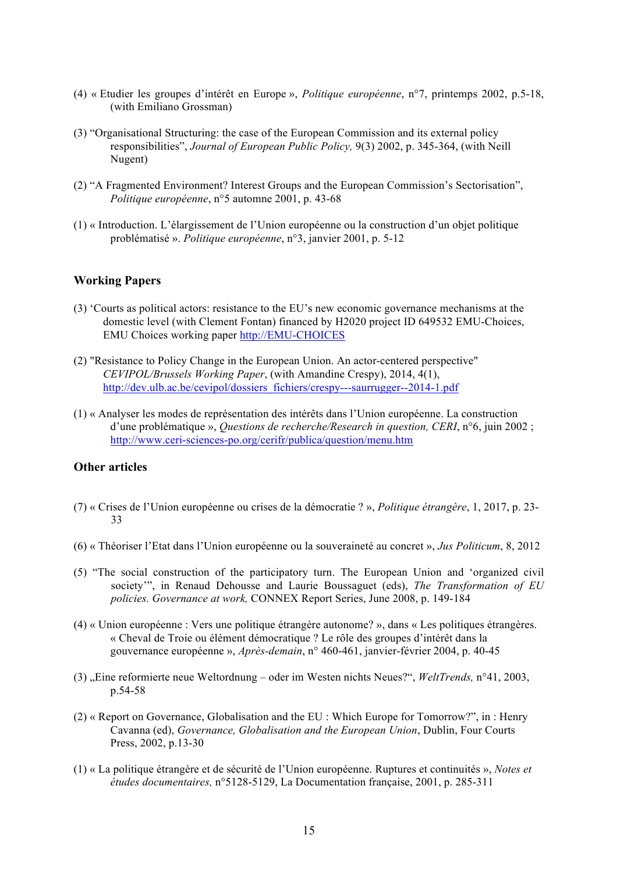- (4) « Etudier les groupes d'intérêt en Europe », *Politique européenne*, n°7, printemps 2002, p.5-18, (with Emiliano Grossman)
- (3) "Organisational Structuring: the case of the European Commission and its external policy responsibilities", *Journal of European Public Policy,* 9(3) 2002, p. 345-364, (with Neill Nugent)
- (2) "A Fragmented Environment? Interest Groups and the European Commission's Sectorisation", *Politique européenne*, n°5 automne 2001, p. 43-68
- (1) « Introduction. L'élargissement de l'Union européenne ou la construction d'un objet politique problématisé ». *Politique européenne*, n°3, janvier 2001, p. 5-12

## **Working Papers**

- (3) 'Courts as political actors: resistance to the EU's new economic governance mechanisms at the domestic level (with Clement Fontan) financed by H2020 project ID 649532 EMU-Choices, EMU Choices working paper http://EMU-CHOICES
- (2) "Resistance to Policy Change in the European Union. An actor-centered perspective" *CEVIPOL/Brussels Working Paper*, (with Amandine Crespy), 2014, 4(1), http://dev.ulb.ac.be/cevipol/dossiers\_fichiers/crespy---saurrugger--2014-1.pdf
- (1) « Analyser les modes de représentation des intérêts dans l'Union européenne. La construction d'une problématique », *Questions de recherche/Research in question, CERI*, n°6, juin 2002 ; http://www.ceri-sciences-po.org/cerifr/publica/question/menu.htm

# **Other articles**

- (7) « Crises de l'Union européenne ou crises de la démocratie ? », *Politique étrangère*, 1, 2017, p. 23- 33
- (6) « Théoriser l'Etat dans l'Union européenne ou la souveraineté au concret », *Jus Politicum*, 8, 2012
- (5) "The social construction of the participatory turn. The European Union and 'organized civil society'", in Renaud Dehousse and Laurie Boussaguet (eds), *The Transformation of EU policies. Governance at work,* CONNEX Report Series, June 2008, p. 149-184
- (4) « Union européenne : Vers une politique étrangère autonome? », dans « Les politiques étrangères. « Cheval de Troie ou élément démocratique ? Le rôle des groupes d'intérêt dans la gouvernance européenne », *Après-demain*, n° 460-461, janvier-février 2004, p. 40-45
- (3) "Eine reformierte neue Weltordnung oder im Westen nichts Neues?", *WeltTrends,* n°41, 2003, p.54-58
- (2) « Report on Governance, Globalisation and the EU : Which Europe for Tomorrow?", in : Henry Cavanna (ed), *Governance, Globalisation and the European Union*, Dublin, Four Courts Press, 2002, p.13-30
- (1) « La politique étrangère et de sécurité de l'Union européenne. Ruptures et continuités », *Notes et études documentaires,* n°5128-5129, La Documentation française, 2001, p. 285-311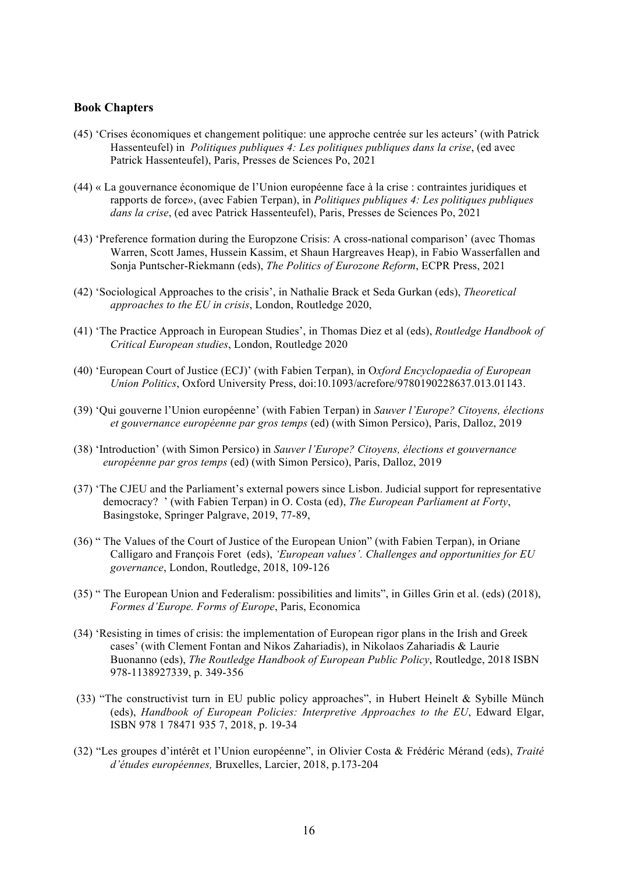## **Book Chapters**

- (45) 'Crises économiques et changement politique: une approche centrée sur les acteurs' (with Patrick Hassenteufel) in *Politiques publiques 4: Les politiques publiques dans la crise*, (ed avec Patrick Hassenteufel), Paris, Presses de Sciences Po, 2021
- (44) « La gouvernance économique de l'Union européenne face à la crise : contraintes juridiques et rapports de force», (avec Fabien Terpan), in *Politiques publiques 4: Les politiques publiques dans la crise*, (ed avec Patrick Hassenteufel), Paris, Presses de Sciences Po, 2021
- (43) 'Preference formation during the Europzone Crisis: A cross-national comparison' (avec Thomas Warren, Scott James, Hussein Kassim, et Shaun Hargreaves Heap), in Fabio Wasserfallen and Sonja Puntscher-Riekmann (eds), *The Politics of Eurozone Reform*, ECPR Press, 2021
- (42) 'Sociological Approaches to the crisis', in Nathalie Brack et Seda Gurkan (eds), *Theoretical approaches to the EU in crisis*, London, Routledge 2020,
- (41) 'The Practice Approach in European Studies', in Thomas Diez et al (eds), *Routledge Handbook of Critical European studies*, London, Routledge 2020
- (40) 'European Court of Justice (ECJ)' (with Fabien Terpan), in O*xford Encyclopaedia of European Union Politics*, Oxford University Press, doi:10.1093/acrefore/9780190228637.013.01143.
- (39) 'Qui gouverne l'Union européenne' (with Fabien Terpan) in *Sauver l'Europe? Citoyens, élections et gouvernance européenne par gros temps* (ed) (with Simon Persico), Paris, Dalloz, 2019
- (38) 'Introduction' (with Simon Persico) in *Sauver l'Europe? Citoyens, élections et gouvernance européenne par gros temps* (ed) (with Simon Persico), Paris, Dalloz, 2019
- (37) 'The CJEU and the Parliament's external powers since Lisbon. Judicial support for representative democracy? ' (with Fabien Terpan) in O. Costa (ed), *The European Parliament at Forty*, Basingstoke, Springer Palgrave, 2019, 77-89,
- (36) " The Values of the Court of Justice of the European Union" (with Fabien Terpan), in Oriane Calligaro and François Foret (eds), *'European values'. Challenges and opportunities for EU governance*, London, Routledge, 2018, 109-126
- (35) " The European Union and Federalism: possibilities and limits", in Gilles Grin et al. (eds) (2018), *Formes d'Europe. Forms of Europe*, Paris, Economica
- (34) 'Resisting in times of crisis: the implementation of European rigor plans in the Irish and Greek cases' (with Clement Fontan and Nikos Zahariadis), in Nikolaos Zahariadis & Laurie Buonanno (eds), *The Routledge Handbook of European Public Policy*, Routledge, 2018 ISBN 978-1138927339, p. 349-356
- (33) "The constructivist turn in EU public policy approaches", in Hubert Heinelt & Sybille Münch (eds), *Handbook of European Policies: Interpretive Approaches to the EU*, Edward Elgar, ISBN 978 1 78471 935 7, 2018, p. 19-34
- (32) "Les groupes d'intérêt et l'Union européenne", in Olivier Costa & Frédéric Mérand (eds), *Traité d'études européennes,* Bruxelles, Larcier, 2018, p.173-204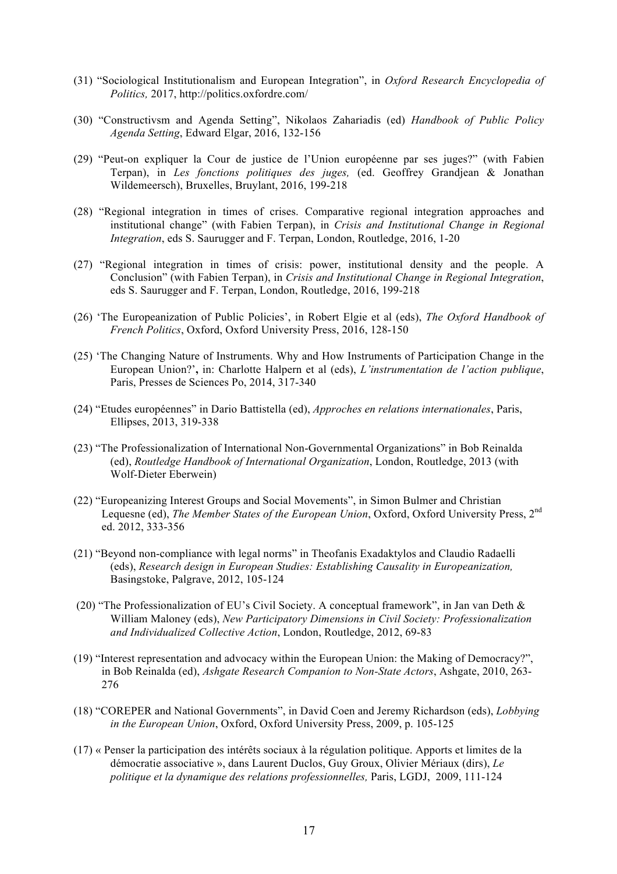- (31) "Sociological Institutionalism and European Integration", in *Oxford Research Encyclopedia of Politics,* 2017, http://politics.oxfordre.com/
- (30) "Constructivsm and Agenda Setting", Nikolaos Zahariadis (ed) *Handbook of Public Policy Agenda Setting*, Edward Elgar, 2016, 132-156
- (29) "Peut-on expliquer la Cour de justice de l'Union européenne par ses juges?" (with Fabien Terpan), in *Les fonctions politiques des juges,* (ed. Geoffrey Grandjean & Jonathan Wildemeersch), Bruxelles, Bruylant, 2016, 199-218
- (28) "Regional integration in times of crises. Comparative regional integration approaches and institutional change" (with Fabien Terpan), in *Crisis and Institutional Change in Regional Integration*, eds S. Saurugger and F. Terpan, London, Routledge, 2016, 1-20
- (27) "Regional integration in times of crisis: power, institutional density and the people. A Conclusion" (with Fabien Terpan), in *Crisis and Institutional Change in Regional Integration*, eds S. Saurugger and F. Terpan, London, Routledge, 2016, 199-218
- (26) 'The Europeanization of Public Policies', in Robert Elgie et al (eds), *The Oxford Handbook of French Politics*, Oxford, Oxford University Press, 2016, 128-150
- (25) 'The Changing Nature of Instruments. Why and How Instruments of Participation Change in the European Union?'**,** in: Charlotte Halpern et al (eds), *L'instrumentation de l'action publique*, Paris, Presses de Sciences Po, 2014, 317-340
- (24) "Etudes européennes" in Dario Battistella (ed), *Approches en relations internationales*, Paris, Ellipses, 2013, 319-338
- (23) "The Professionalization of International Non-Governmental Organizations" in Bob Reinalda (ed), *Routledge Handbook of International Organization*, London, Routledge, 2013 (with Wolf-Dieter Eberwein)
- (22) "Europeanizing Interest Groups and Social Movements", in Simon Bulmer and Christian Lequesne (ed), *The Member States of the European Union*, Oxford, Oxford University Press, 2nd ed. 2012, 333-356
- (21) "Beyond non-compliance with legal norms" in Theofanis Exadaktylos and Claudio Radaelli (eds), *Research design in European Studies: Establishing Causality in Europeanization,*  Basingstoke, Palgrave, 2012, 105-124
- (20) "The Professionalization of EU's Civil Society. A conceptual framework", in Jan van Deth & William Maloney (eds), *New Participatory Dimensions in Civil Society: Professionalization and Individualized Collective Action*, London, Routledge, 2012, 69-83
- (19) "Interest representation and advocacy within the European Union: the Making of Democracy?", in Bob Reinalda (ed), *Ashgate Research Companion to Non-State Actors*, Ashgate, 2010, 263- 276
- (18) "COREPER and National Governments", in David Coen and Jeremy Richardson (eds), *Lobbying in the European Union*, Oxford, Oxford University Press, 2009, p. 105-125
- (17) « Penser la participation des intérêts sociaux à la régulation politique. Apports et limites de la démocratie associative », dans Laurent Duclos, Guy Groux, Olivier Mériaux (dirs), *Le politique et la dynamique des relations professionnelles,* Paris, LGDJ, 2009, 111-124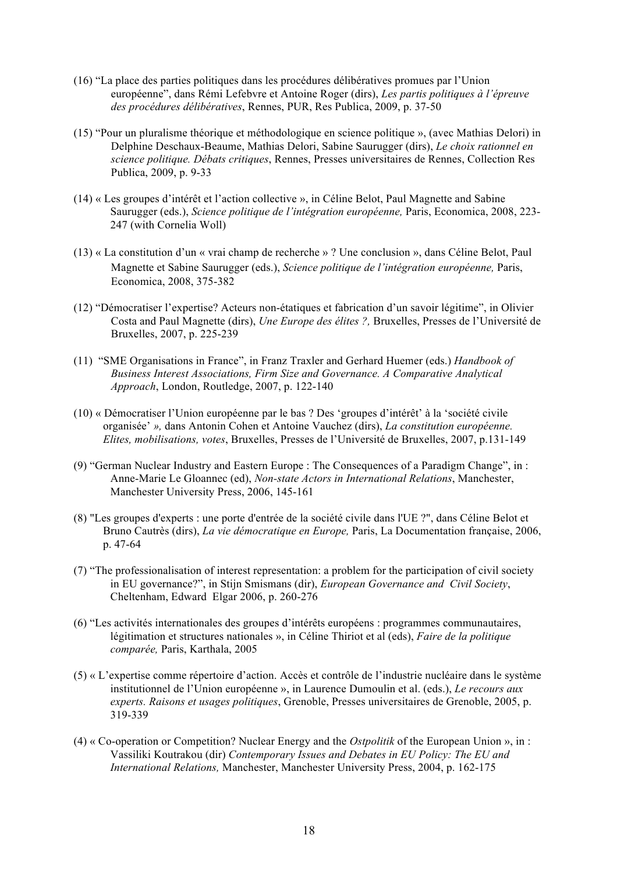- (16) "La place des parties politiques dans les procédures délibératives promues par l'Union européenne", dans Rémi Lefebvre et Antoine Roger (dirs), *Les partis politiques à l'épreuve des procédures délibératives*, Rennes, PUR, Res Publica, 2009, p. 37-50
- (15) "Pour un pluralisme théorique et méthodologique en science politique », (avec Mathias Delori) in Delphine Deschaux-Beaume, Mathias Delori, Sabine Saurugger (dirs), *Le choix rationnel en science politique. Débats critiques*, Rennes, Presses universitaires de Rennes, Collection Res Publica, 2009, p. 9-33
- (14) « Les groupes d'intérêt et l'action collective », in Céline Belot, Paul Magnette and Sabine Saurugger (eds.), *Science politique de l'intégration européenne,* Paris, Economica, 2008, 223- 247 (with Cornelia Woll)
- (13) « La constitution d'un « vrai champ de recherche » ? Une conclusion », dans Céline Belot, Paul Magnette et Sabine Saurugger (eds.), *Science politique de l'intégration européenne,* Paris, Economica, 2008, 375-382
- (12) "Démocratiser l'expertise? Acteurs non-étatiques et fabrication d'un savoir légitime", in Olivier Costa and Paul Magnette (dirs), *Une Europe des élites ?,* Bruxelles, Presses de l'Université de Bruxelles, 2007, p. 225-239
- (11) "SME Organisations in France", in Franz Traxler and Gerhard Huemer (eds.) *Handbook of Business Interest Associations, Firm Size and Governance. A Comparative Analytical Approach*, London, Routledge, 2007, p. 122-140
- (10) « Démocratiser l'Union européenne par le bas ? Des 'groupes d'intérêt' à la 'société civile organisée' *»,* dans Antonin Cohen et Antoine Vauchez (dirs), *La constitution européenne. Elites, mobilisations, votes*, Bruxelles, Presses de l'Université de Bruxelles, 2007, p.131-149
- (9) "German Nuclear Industry and Eastern Europe : The Consequences of a Paradigm Change", in : Anne-Marie Le Gloannec (ed), *Non-state Actors in International Relations*, Manchester, Manchester University Press, 2006, 145-161
- (8) "Les groupes d'experts : une porte d'entrée de la société civile dans l'UE ?", dans Céline Belot et Bruno Cautrès (dirs), *La vie démocratique en Europe,* Paris, La Documentation française, 2006, p. 47-64
- (7) "The professionalisation of interest representation: a problem for the participation of civil society in EU governance?", in Stijn Smismans (dir), *European Governance and Civil Society*, Cheltenham, Edward Elgar 2006, p. 260-276
- (6) "Les activités internationales des groupes d'intérêts européens : programmes communautaires, légitimation et structures nationales », in Céline Thiriot et al (eds), *Faire de la politique comparée,* Paris, Karthala, 2005
- (5) « L'expertise comme répertoire d'action. Accès et contrôle de l'industrie nucléaire dans le système institutionnel de l'Union européenne », in Laurence Dumoulin et al. (eds.), *Le recours aux experts. Raisons et usages politiques*, Grenoble, Presses universitaires de Grenoble, 2005, p. 319-339
- (4) « Co-operation or Competition? Nuclear Energy and the *Ostpolitik* of the European Union », in : Vassiliki Koutrakou (dir) *Contemporary Issues and Debates in EU Policy: The EU and International Relations,* Manchester, Manchester University Press, 2004, p. 162-175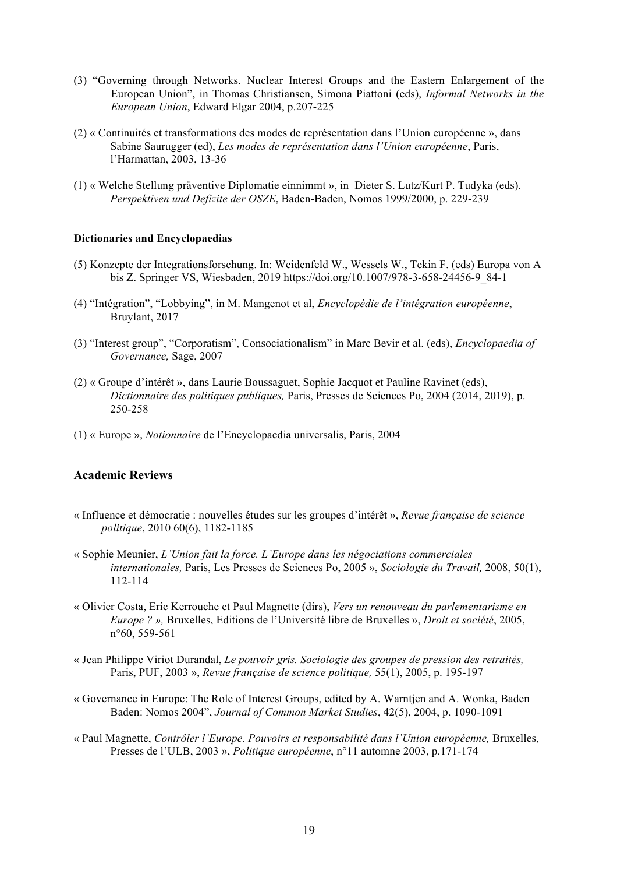- (3) "Governing through Networks. Nuclear Interest Groups and the Eastern Enlargement of the European Union", in Thomas Christiansen, Simona Piattoni (eds), *Informal Networks in the European Union*, Edward Elgar 2004, p.207-225
- (2) « Continuités et transformations des modes de représentation dans l'Union européenne », dans Sabine Saurugger (ed), *Les modes de représentation dans l'Union européenne*, Paris, l'Harmattan, 2003, 13-36
- (1) « Welche Stellung präventive Diplomatie einnimmt », in Dieter S. Lutz/Kurt P. Tudyka (eds). *Perspektiven und Defizite der OSZE*, Baden-Baden, Nomos 1999/2000, p. 229-239

### **Dictionaries and Encyclopaedias**

- (5) Konzepte der Integrationsforschung. In: Weidenfeld W., Wessels W., Tekin F. (eds) Europa von A bis Z. Springer VS, Wiesbaden, 2019 https://doi.org/10.1007/978-3-658-24456-9\_84-1
- (4) "Intégration", "Lobbying", in M. Mangenot et al, *Encyclopédie de l'intégration européenne*, Bruylant, 2017
- (3) "Interest group", "Corporatism", Consociationalism" in Marc Bevir et al. (eds), *Encyclopaedia of Governance,* Sage, 2007
- (2) « Groupe d'intérêt », dans Laurie Boussaguet, Sophie Jacquot et Pauline Ravinet (eds), *Dictionnaire des politiques publiques,* Paris, Presses de Sciences Po, 2004 (2014, 2019), p. 250-258
- (1) « Europe », *Notionnaire* de l'Encyclopaedia universalis, Paris, 2004

## **Academic Reviews**

- « Influence et démocratie : nouvelles études sur les groupes d'intérêt », *Revue française de science politique*, 2010 60(6), 1182-1185
- « Sophie Meunier, *L'Union fait la force. L'Europe dans les négociations commerciales internationales,* Paris, Les Presses de Sciences Po, 2005 », *Sociologie du Travail,* 2008, 50(1), 112-114
- « Olivier Costa, Eric Kerrouche et Paul Magnette (dirs), *Vers un renouveau du parlementarisme en Europe ? »,* Bruxelles, Editions de l'Université libre de Bruxelles », *Droit et société*, 2005, n°60, 559-561
- « Jean Philippe Viriot Durandal, *Le pouvoir gris. Sociologie des groupes de pression des retraités,*  Paris, PUF, 2003 », *Revue française de science politique,* 55(1), 2005, p. 195-197
- « Governance in Europe: The Role of Interest Groups, edited by A. Warntjen and A. Wonka, Baden Baden: Nomos 2004", *Journal of Common Market Studies*, 42(5), 2004, p. 1090-1091
- « Paul Magnette, *Contrôler l'Europe. Pouvoirs et responsabilité dans l'Union européenne*, Bruxelles, Presses de l'ULB, 2003 », *Politique européenne*, n°11 automne 2003, p.171-174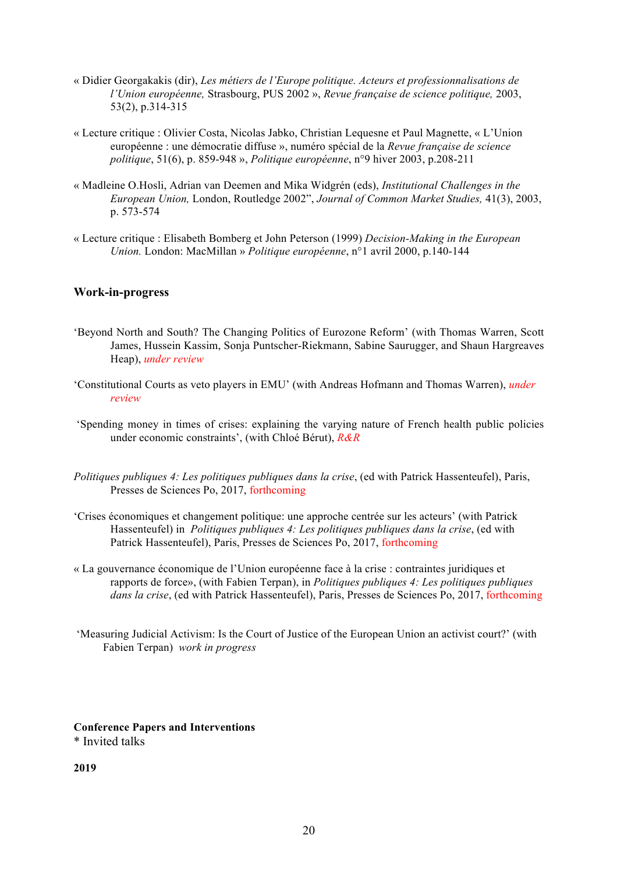- « Didier Georgakakis (dir), *Les métiers de l'Europe politique. Acteurs et professionnalisations de l'Union européenne,* Strasbourg, PUS 2002 », *Revue française de science politique,* 2003, 53(2), p.314-315
- « Lecture critique : Olivier Costa, Nicolas Jabko, Christian Lequesne et Paul Magnette, « L'Union européenne : une démocratie diffuse », numéro spécial de la *Revue française de science politique*, 51(6), p. 859-948 », *Politique européenne*, n°9 hiver 2003, p.208-211
- « Madleine O.Hosli, Adrian van Deemen and Mika Widgrén (eds), *Institutional Challenges in the European Union,* London, Routledge 2002", *Journal of Common Market Studies,* 41(3), 2003, p. 573-574
- « Lecture critique : Elisabeth Bomberg et John Peterson (1999) *Decision-Making in the European Union.* London: MacMillan » *Politique européenne*, n°1 avril 2000, p.140-144

## **Work-in-progress**

- 'Beyond North and South? The Changing Politics of Eurozone Reform' (with Thomas Warren, Scott James, Hussein Kassim, Sonja Puntscher-Riekmann, Sabine Saurugger, and Shaun Hargreaves Heap), *under review*
- 'Constitutional Courts as veto players in EMU' (with Andreas Hofmann and Thomas Warren), *under review*
- 'Spending money in times of crises: explaining the varying nature of French health public policies under economic constraints', (with Chloé Bérut), *R&R*
- *Politiques publiques 4: Les politiques publiques dans la crise*, (ed with Patrick Hassenteufel), Paris, Presses de Sciences Po, 2017, forthcoming
- 'Crises économiques et changement politique: une approche centrée sur les acteurs' (with Patrick Hassenteufel) in *Politiques publiques 4: Les politiques publiques dans la crise*, (ed with Patrick Hassenteufel), Paris, Presses de Sciences Po, 2017, forthcoming
- « La gouvernance économique de l'Union européenne face à la crise : contraintes juridiques et rapports de force», (with Fabien Terpan), in *Politiques publiques 4: Les politiques publiques dans la crise*, (ed with Patrick Hassenteufel), Paris, Presses de Sciences Po, 2017, forthcoming
- 'Measuring Judicial Activism: Is the Court of Justice of the European Union an activist court?' (with Fabien Terpan) *work in progress*

#### **Conference Papers and Interventions** \* Invited talks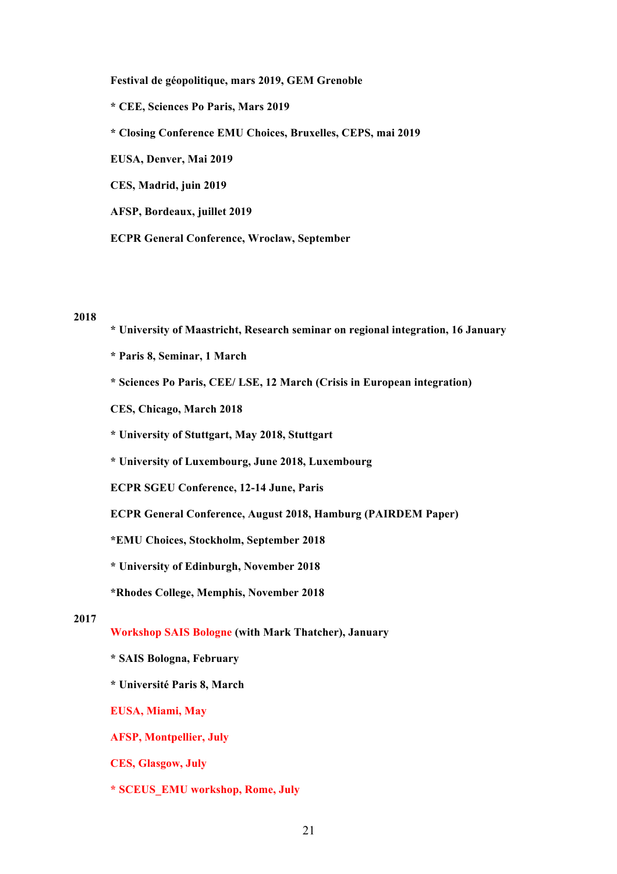**Festival de géopolitique, mars 2019, GEM Grenoble \* CEE, Sciences Po Paris, Mars 2019 \* Closing Conference EMU Choices, Bruxelles, CEPS, mai 2019 EUSA, Denver, Mai 2019 CES, Madrid, juin 2019 AFSP, Bordeaux, juillet 2019**

# **ECPR General Conference, Wroclaw, September**

## **2018**

- **\* University of Maastricht, Research seminar on regional integration, 16 January**
- **\* Paris 8, Seminar, 1 March**
- **\* Sciences Po Paris, CEE/ LSE, 12 March (Crisis in European integration)**
- **CES, Chicago, March 2018**
- **\* University of Stuttgart, May 2018, Stuttgart**
- **\* University of Luxembourg, June 2018, Luxembourg**
- **ECPR SGEU Conference, 12-14 June, Paris**
- **ECPR General Conference, August 2018, Hamburg (PAIRDEM Paper)**
- **\*EMU Choices, Stockholm, September 2018**
- **\* University of Edinburgh, November 2018**
- **\*Rhodes College, Memphis, November 2018**

- **Workshop SAIS Bologne (with Mark Thatcher), January**
- **\* SAIS Bologna, February**
- **\* Université Paris 8, March**
- **EUSA, Miami, May**
- **AFSP, Montpellier, July**
- **CES, Glasgow, July**
- **\* SCEUS\_EMU workshop, Rome, July**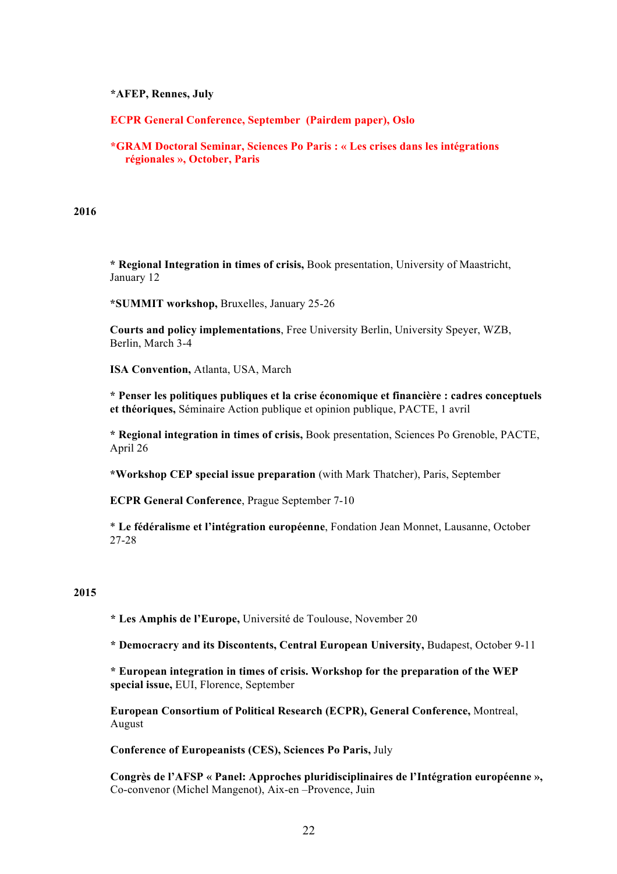## **\*AFEP, Rennes, July**

**ECPR General Conference, September (Pairdem paper), Oslo**

**\*GRAM Doctoral Seminar, Sciences Po Paris : « Les crises dans les intégrations régionales », October, Paris**

**2016**

**\* Regional Integration in times of crisis,** Book presentation, University of Maastricht, January 12

**\*SUMMIT workshop,** Bruxelles, January 25-26

**Courts and policy implementations**, Free University Berlin, University Speyer, WZB, Berlin, March 3-4

**ISA Convention,** Atlanta, USA, March

**\* Penser les politiques publiques et la crise économique et financière : cadres conceptuels et théoriques,** Séminaire Action publique et opinion publique, PACTE, 1 avril

**\* Regional integration in times of crisis,** Book presentation, Sciences Po Grenoble, PACTE, April 26

**\*Workshop CEP special issue preparation** (with Mark Thatcher), Paris, September

**ECPR General Conference**, Prague September 7-10

\* **Le fédéralisme et l'intégration européenne**, Fondation Jean Monnet, Lausanne, October 27-28

### **2015**

**\* Les Amphis de l'Europe,** Université de Toulouse, November 20

**\* Democracry and its Discontents, Central European University,** Budapest, October 9-11

**\* European integration in times of crisis. Workshop for the preparation of the WEP special issue,** EUI, Florence, September

**European Consortium of Political Research (ECPR), General Conference,** Montreal, August

**Conference of Europeanists (CES), Sciences Po Paris,** July

**Congrès de l'AFSP « Panel: Approches pluridisciplinaires de l'Intégration européenne »,**  Co-convenor (Michel Mangenot), Aix-en –Provence, Juin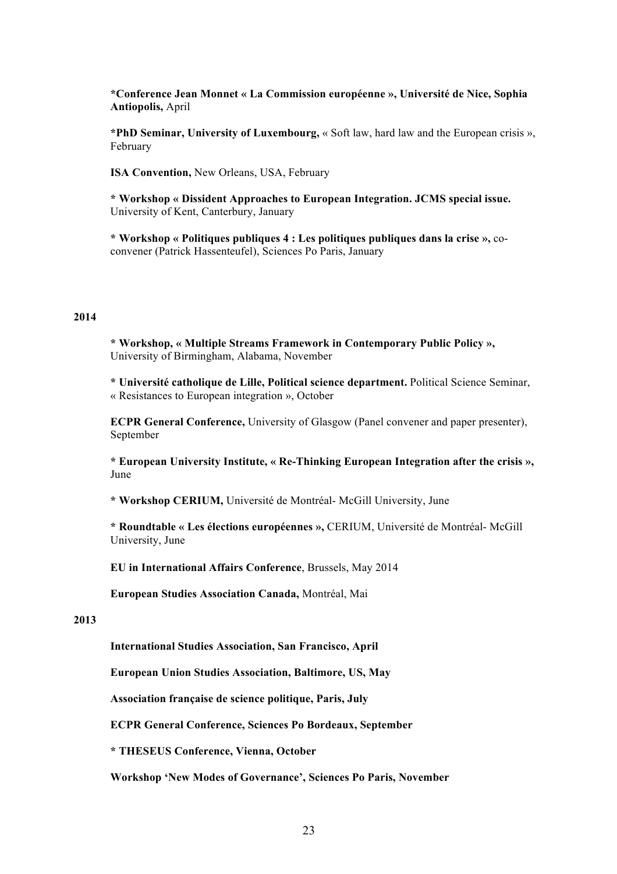**\*Conference Jean Monnet « La Commission européenne », Université de Nice, Sophia Antiopolis,** April

**\*PhD Seminar, University of Luxembourg,** « Soft law, hard law and the European crisis », February

**ISA Convention,** New Orleans, USA, February

**\* Workshop « Dissident Approaches to European Integration. JCMS special issue.**  University of Kent, Canterbury, January

**\* Workshop « Politiques publiques 4 : Les politiques publiques dans la crise »,** coconvener (Patrick Hassenteufel), Sciences Po Paris, January

### **2014**

**\* Workshop, « Multiple Streams Framework in Contemporary Public Policy »,**  University of Birmingham, Alabama, November

**\* Université catholique de Lille, Political science department.** Political Science Seminar, « Resistances to European integration », October

**ECPR General Conference,** University of Glasgow (Panel convener and paper presenter), September

**\* European University Institute, « Re-Thinking European Integration after the crisis »,**  June

**\* Workshop CERIUM,** Université de Montréal- McGill University, June

**\* Roundtable « Les élections européennes »,** CERIUM, Université de Montréal- McGill University, June

**EU in International Affairs Conference**, Brussels, May 2014

**European Studies Association Canada,** Montréal, Mai

#### **2013**

**International Studies Association, San Francisco, April**

**European Union Studies Association, Baltimore, US, May**

**Association française de science politique, Paris, July**

**ECPR General Conference, Sciences Po Bordeaux, September** 

**\* THESEUS Conference, Vienna, October** 

**Workshop 'New Modes of Governance', Sciences Po Paris, November**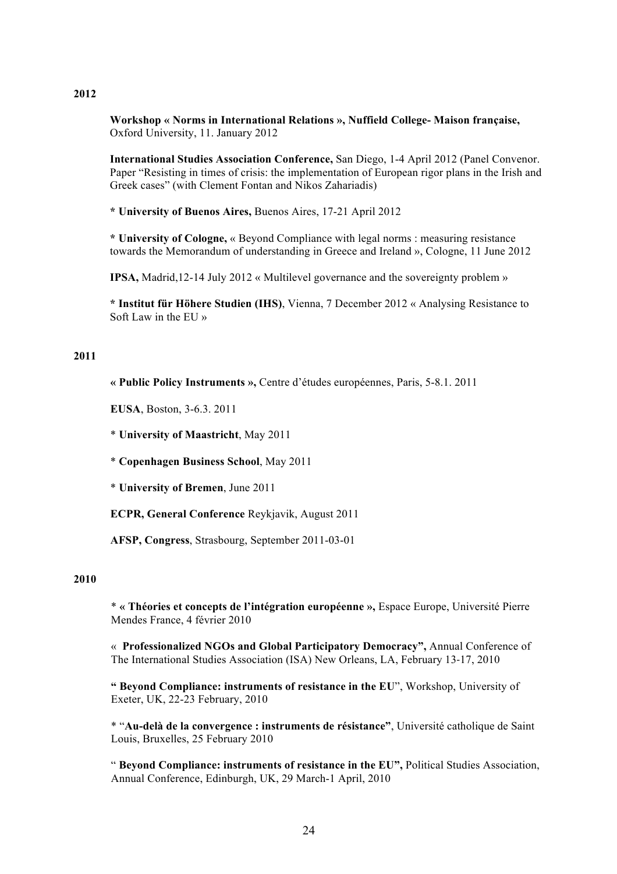### **2012**

**Workshop « Norms in International Relations », Nuffield College- Maison française,**  Oxford University, 11. January 2012

**International Studies Association Conference,** San Diego, 1-4 April 2012 (Panel Convenor. Paper "Resisting in times of crisis: the implementation of European rigor plans in the Irish and Greek cases" (with Clement Fontan and Nikos Zahariadis)

**\* University of Buenos Aires,** Buenos Aires, 17-21 April 2012

**\* University of Cologne,** « Beyond Compliance with legal norms : measuring resistance towards the Memorandum of understanding in Greece and Ireland », Cologne, 11 June 2012

**IPSA,** Madrid,12-14 July 2012 « Multilevel governance and the sovereignty problem »

**\* Institut für Höhere Studien (IHS)**, Vienna, 7 December 2012 « Analysing Resistance to Soft Law in the EU »

### **2011**

**« Public Policy Instruments »,** Centre d'études européennes, Paris, 5-8.1. 2011

**EUSA**, Boston, 3-6.3. 2011

\* **University of Maastricht**, May 2011

\* **Copenhagen Business School**, May 2011

\* **University of Bremen**, June 2011

**ECPR, General Conference** Reykjavik, August 2011

**AFSP, Congress**, Strasbourg, September 2011-03-01

## **2010**

\* **« Théories et concepts de l'intégration européenne »,** Espace Europe, Université Pierre Mendes France, 4 février 2010

« **Professionalized NGOs and Global Participatory Democracy",** Annual Conference of The International Studies Association (ISA) New Orleans, LA, February 13-17, 2010

**" Beyond Compliance: instruments of resistance in the EU**", Workshop, University of Exeter, UK, 22-23 February, 2010

\* "**Au-delà de la convergence : instruments de résistance"**, Université catholique de Saint Louis, Bruxelles, 25 February 2010

" **Beyond Compliance: instruments of resistance in the EU",** Political Studies Association, Annual Conference, Edinburgh, UK, 29 March-1 April, 2010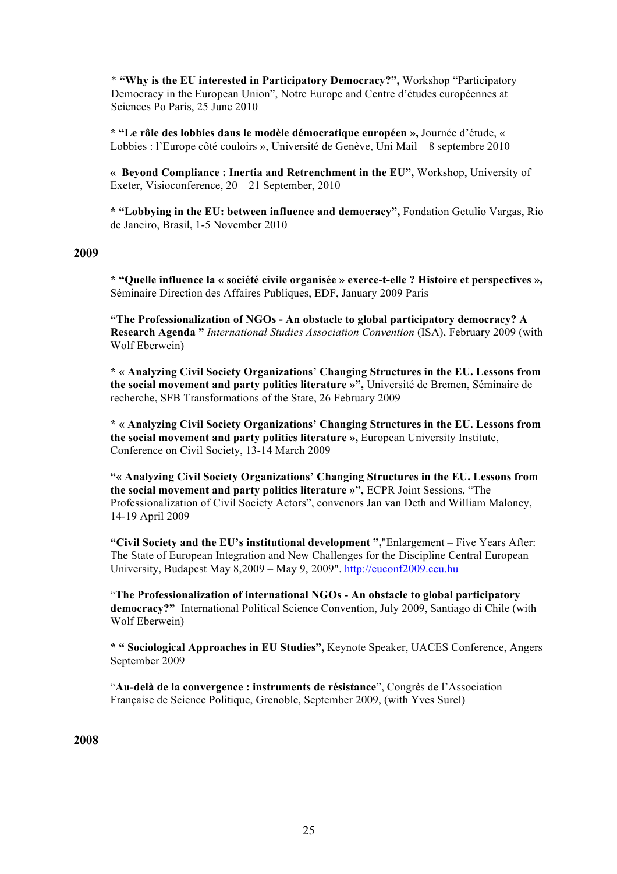\* **"Why is the EU interested in Participatory Democracy?",** Workshop "Participatory Democracy in the European Union", Notre Europe and Centre d'études européennes at Sciences Po Paris, 25 June 2010

**\* "Le rôle des lobbies dans le modèle démocratique européen »,** Journée d'étude, « Lobbies : l'Europe côté couloirs », Université de Genève, Uni Mail – 8 septembre 2010

**« Beyond Compliance : Inertia and Retrenchment in the EU",** Workshop, University of Exeter, Visioconference, 20 – 21 September, 2010

**\* "Lobbying in the EU: between influence and democracy",** Fondation Getulio Vargas, Rio de Janeiro, Brasil, 1-5 November 2010

### **2009**

**\* "Quelle influence la « société civile organisée » exerce-t-elle ? Histoire et perspectives »,**  Séminaire Direction des Affaires Publiques, EDF, January 2009 Paris

**"The Professionalization of NGOs - An obstacle to global participatory democracy? A Research Agenda "** *International Studies Association Convention* (ISA), February 2009 (with Wolf Eberwein)

**\* « Analyzing Civil Society Organizations' Changing Structures in the EU. Lessons from the social movement and party politics literature »",** Université de Bremen, Séminaire de recherche, SFB Transformations of the State, 26 February 2009

**\* « Analyzing Civil Society Organizations' Changing Structures in the EU. Lessons from the social movement and party politics literature »,** European University Institute, Conference on Civil Society, 13-14 March 2009

**"« Analyzing Civil Society Organizations' Changing Structures in the EU. Lessons from the social movement and party politics literature »",** ECPR Joint Sessions, "The Professionalization of Civil Society Actors", convenors Jan van Deth and William Maloney, 14-19 April 2009

**"Civil Society and the EU's institutional development ",**"Enlargement – Five Years After: The State of European Integration and New Challenges for the Discipline Central European University, Budapest May 8,2009 – May 9, 2009". http://euconf2009.ceu.hu

"**The Professionalization of international NGOs - An obstacle to global participatory democracy?"** International Political Science Convention, July 2009, Santiago di Chile (with Wolf Eberwein)

**\* " Sociological Approaches in EU Studies",** Keynote Speaker, UACES Conference, Angers September 2009

"**Au-delà de la convergence : instruments de résistance**", Congrès de l'Association Française de Science Politique, Grenoble, September 2009, (with Yves Surel)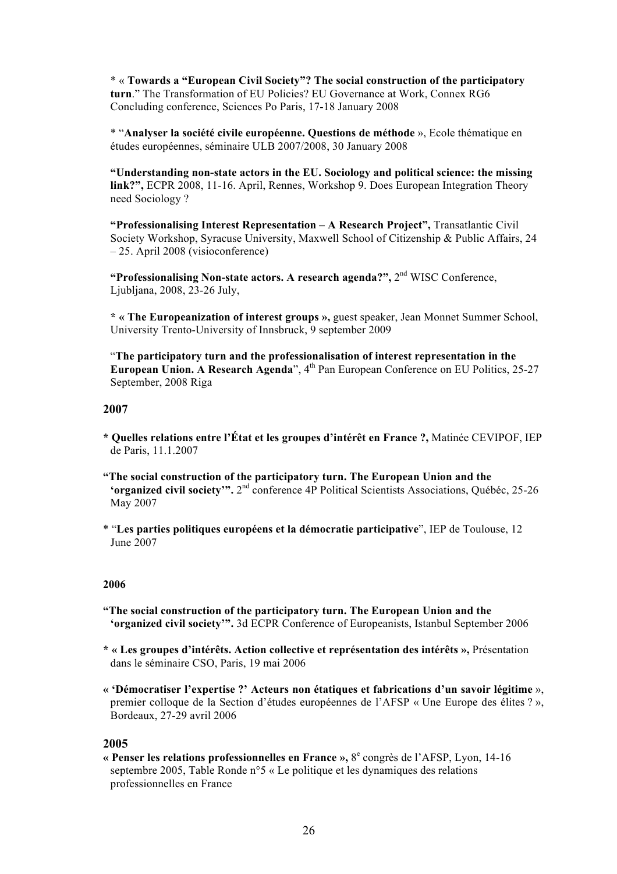\* « **Towards a "European Civil Society"? The social construction of the participatory turn**." The Transformation of EU Policies? EU Governance at Work, Connex RG6 Concluding conference, Sciences Po Paris, 17-18 January 2008

\* "**Analyser la société civile européenne. Questions de méthode** », Ecole thématique en études européennes, séminaire ULB 2007/2008, 30 January 2008

**"Understanding non-state actors in the EU. Sociology and political science: the missing link?",** ECPR 2008, 11-16. April, Rennes, Workshop 9. Does European Integration Theory need Sociology ?

**"Professionalising Interest Representation – A Research Project",** Transatlantic Civil Society Workshop, Syracuse University, Maxwell School of Citizenship & Public Affairs, 24 – 25. April 2008 (visioconference)

**"Professionalising Non-state actors. A research agenda?",** 2nd WISC Conference, Ljubljana, 2008, 23-26 July,

**\* « The Europeanization of interest groups »,** guest speaker, Jean Monnet Summer School, University Trento-University of Innsbruck, 9 september 2009

"**The participatory turn and the professionalisation of interest representation in the European Union. A Research Agenda**", 4<sup>th</sup> Pan European Conference on EU Politics, 25-27 September, 2008 Riga

### **2007**

- **\* Quelles relations entre l'État et les groupes d'intérêt en France ?,** Matinée CEVIPOF, IEP de Paris, 11.1.2007
- **"The social construction of the participatory turn. The European Union and the 'organized civil society'".** 2<sup>nd</sup> conference 4P Political Scientists Associations, Québéc, 25-26 May 2007

\* "**Les parties politiques européens et la démocratie participative**", IEP de Toulouse, 12 June 2007

### **2006**

- **"The social construction of the participatory turn. The European Union and the 'organized civil society'".** 3d ECPR Conference of Europeanists, Istanbul September 2006
- **\* « Les groupes d'intérêts. Action collective et représentation des intérêts »,** Présentation dans le séminaire CSO, Paris, 19 mai 2006
- **« 'Démocratiser l'expertise ?' Acteurs non étatiques et fabrications d'un savoir légitime** », premier colloque de la Section d'études européennes de l'AFSP « Une Europe des élites ? », Bordeaux, 27-29 avril 2006

### **2005**

**« Penser les relations professionnelles en France »,** 8<sup>e</sup> congrès de l'AFSP, Lyon, 14-16 septembre 2005, Table Ronde n°5 « Le politique et les dynamiques des relations professionnelles en France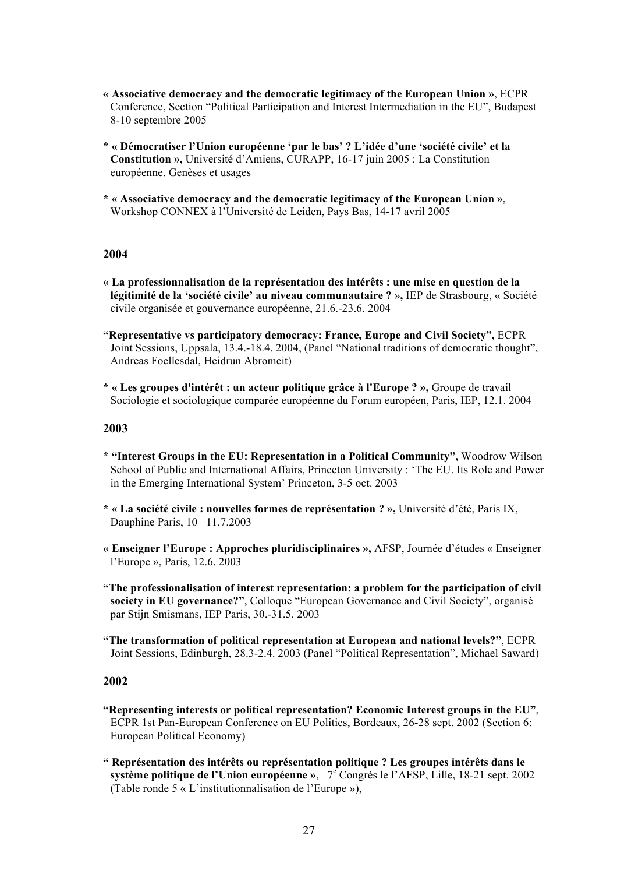- **« Associative democracy and the democratic legitimacy of the European Union »**, ECPR Conference, Section "Political Participation and Interest Intermediation in the EU", Budapest 8-10 septembre 2005
- **\* « Démocratiser l'Union européenne 'par le bas' ? L'idée d'une 'société civile' et la Constitution »,** Université d'Amiens, CURAPP, 16-17 juin 2005 : La Constitution européenne. Genèses et usages
- **\* « Associative democracy and the democratic legitimacy of the European Union »**, Workshop CONNEX à l'Université de Leiden, Pays Bas, 14-17 avril 2005

### **2004**

- **« La professionnalisation de la représentation des intérêts : une mise en question de la légitimité de la 'société civile' au niveau communautaire ?** »**,** IEP de Strasbourg, « Société civile organisée et gouvernance européenne, 21.6.-23.6. 2004
- **"Representative vs participatory democracy: France, Europe and Civil Society",** ECPR Joint Sessions, Uppsala, 13.4.-18.4. 2004, (Panel "National traditions of democratic thought", Andreas Foellesdal, Heidrun Abromeit)
- **\* « Les groupes d'intérêt : un acteur politique grâce à l'Europe ? »,** Groupe de travail Sociologie et sociologique comparée européenne du Forum européen, Paris, IEP, 12.1. 2004

### **2003**

- **\* "Interest Groups in the EU: Representation in a Political Community",** Woodrow Wilson School of Public and International Affairs, Princeton University : 'The EU. Its Role and Power in the Emerging International System' Princeton, 3-5 oct. 2003
- **\* « La société civile : nouvelles formes de représentation ? »,** Université d'été, Paris IX, Dauphine Paris, 10 –11.7.2003
- **« Enseigner l'Europe : Approches pluridisciplinaires »,** AFSP, Journée d'études « Enseigner l'Europe », Paris, 12.6. 2003
- **"The professionalisation of interest representation: a problem for the participation of civil society in EU governance?"**, Colloque "European Governance and Civil Society", organisé par Stijn Smismans, IEP Paris, 30.-31.5. 2003
- **"The transformation of political representation at European and national levels?"**, ECPR Joint Sessions, Edinburgh, 28.3-2.4. 2003 (Panel "Political Representation", Michael Saward)

- **"Representing interests or political representation? Economic Interest groups in the EU"**, ECPR 1st Pan-European Conference on EU Politics, Bordeaux, 26-28 sept. 2002 (Section 6: European Political Economy)
- **" Représentation des intérêts ou représentation politique ? Les groupes intérêts dans le système politique de l'Union européenne** », 7<sup>e</sup> Congrès le l'AFSP, Lille, 18-21 sept. 2002 (Table ronde 5 « L'institutionnalisation de l'Europe »),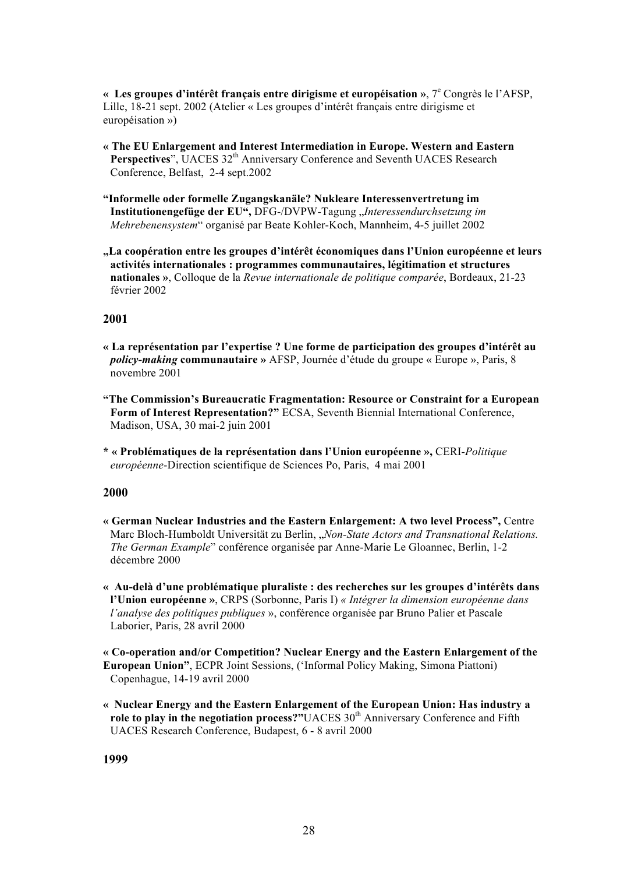**« Les groupes d'intérêt français entre dirigisme et européisation »**, 7<sup>e</sup> Congrès le l'AFSP, Lille, 18-21 sept. 2002 (Atelier « Les groupes d'intérêt français entre dirigisme et européisation »)

- **« The EU Enlargement and Interest Intermediation in Europe. Western and Eastern Perspectives**", UACES 32<sup>th</sup> Anniversary Conference and Seventh UACES Research Conference, Belfast, 2-4 sept.2002
- **"Informelle oder formelle Zugangskanäle? Nukleare Interessenvertretung im Institutionengefüge der EU",** DFG-/DVPW-Tagung "*Interessendurchsetzung im Mehrebenensystem*" organisé par Beate Kohler-Koch, Mannheim, 4-5 juillet 2002
- **"La coopération entre les groupes d'intérêt économiques dans l'Union européenne et leurs activités internationales : programmes communautaires, légitimation et structures nationales »**, Colloque de la *Revue internationale de politique comparée*, Bordeaux, 21-23 février 2002

# **2001**

- **« La représentation par l'expertise ? Une forme de participation des groupes d'intérêt au**  *policy-making* **communautaire »** AFSP, Journée d'étude du groupe « Europe », Paris, 8 novembre 2001
- **"The Commission's Bureaucratic Fragmentation: Resource or Constraint for a European Form of Interest Representation?"** ECSA, Seventh Biennial International Conference, Madison, USA, 30 mai-2 juin 2001
- **\* « Problématiques de la représentation dans l'Union européenne »,** CERI-*Politique européenne*-Direction scientifique de Sciences Po, Paris, 4 mai 2001

# **2000**

- **« German Nuclear Industries and the Eastern Enlargement: A two level Process",** Centre Marc Bloch-Humboldt Universität zu Berlin, "*Non-State Actors and Transnational Relations. The German Example*" conférence organisée par Anne-Marie Le Gloannec, Berlin, 1-2 décembre 2000
- **« Au-delà d'une problématique pluraliste : des recherches sur les groupes d'intérêts dans l'Union européenne »**, CRPS (Sorbonne, Paris I) *« Intégrer la dimension européenne dans l'analyse des politiques publiques* », conférence organisée par Bruno Palier et Pascale Laborier, Paris, 28 avril 2000
- **« Co-operation and/or Competition? Nuclear Energy and the Eastern Enlargement of the European Union"**, ECPR Joint Sessions, ('Informal Policy Making, Simona Piattoni) Copenhague, 14-19 avril 2000
- **« Nuclear Energy and the Eastern Enlargement of the European Union: Has industry a role to play in the negotiation process?"**UACES 30<sup>th</sup> Anniversary Conference and Fifth UACES Research Conference, Budapest, 6 - 8 avril 2000